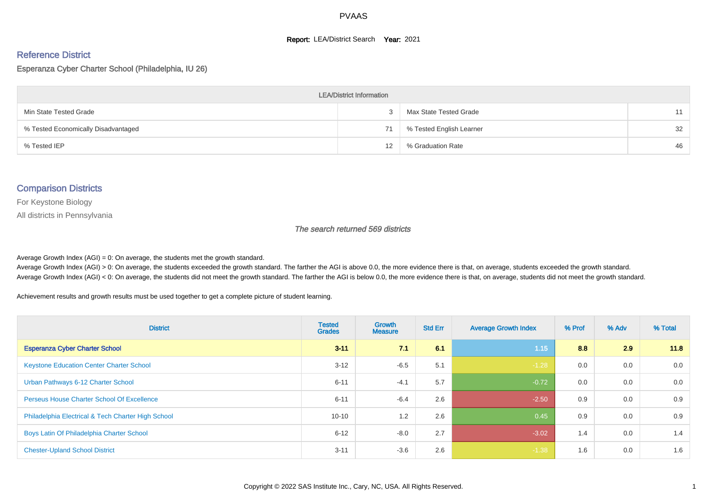#### **Report: LEA/District Search Year: 2021**

# Reference District

## Esperanza Cyber Charter School (Philadelphia, IU 26)

| <b>LEA/District Information</b>     |                   |                          |    |  |  |  |  |  |  |
|-------------------------------------|-------------------|--------------------------|----|--|--|--|--|--|--|
| Min State Tested Grade              |                   | Max State Tested Grade   | 11 |  |  |  |  |  |  |
| % Tested Economically Disadvantaged | 71                | % Tested English Learner | 32 |  |  |  |  |  |  |
| % Tested IEP                        | $12 \overline{ }$ | % Graduation Rate        | 46 |  |  |  |  |  |  |

#### Comparison Districts

For Keystone Biology

All districts in Pennsylvania

The search returned 569 districts

Average Growth Index  $(AGI) = 0$ : On average, the students met the growth standard.

Average Growth Index (AGI) > 0: On average, the students exceeded the growth standard. The farther the AGI is above 0.0, the more evidence there is that, on average, students exceeded the growth standard. Average Growth Index (AGI) < 0: On average, the students did not meet the growth standard. The farther the AGI is below 0.0, the more evidence there is that, on average, students did not meet the growth standard.

Achievement results and growth results must be used together to get a complete picture of student learning.

| <b>District</b>                                    | <b>Tested</b><br><b>Grades</b> | <b>Growth</b><br><b>Measure</b> | <b>Std Err</b> | <b>Average Growth Index</b> | % Prof | % Adv | % Total |
|----------------------------------------------------|--------------------------------|---------------------------------|----------------|-----------------------------|--------|-------|---------|
| <b>Esperanza Cyber Charter School</b>              | $3 - 11$                       | 71                              | 6.1            | 1.15                        | 8.8    | 2.9   | 11.8    |
| <b>Keystone Education Center Charter School</b>    | $3 - 12$                       | $-6.5$                          | 5.1            | $-1.28$                     | 0.0    | 0.0   | 0.0     |
| Urban Pathways 6-12 Charter School                 | $6 - 11$                       | $-4.1$                          | 5.7            | $-0.72$                     | 0.0    | 0.0   | 0.0     |
| <b>Perseus House Charter School Of Excellence</b>  | $6 - 11$                       | $-6.4$                          | 2.6            | $-2.50$                     | 0.9    | 0.0   | 0.9     |
| Philadelphia Electrical & Tech Charter High School | $10 - 10$                      | 1.2                             | 2.6            | 0.45                        | 0.9    | 0.0   | 0.9     |
| Boys Latin Of Philadelphia Charter School          | $6 - 12$                       | $-8.0$                          | 2.7            | $-3.02$                     | 1.4    | 0.0   | 1.4     |
| <b>Chester-Upland School District</b>              | $3 - 11$                       | $-3.6$                          | 2.6            | $-1.38$                     | 1.6    | 0.0   | 1.6     |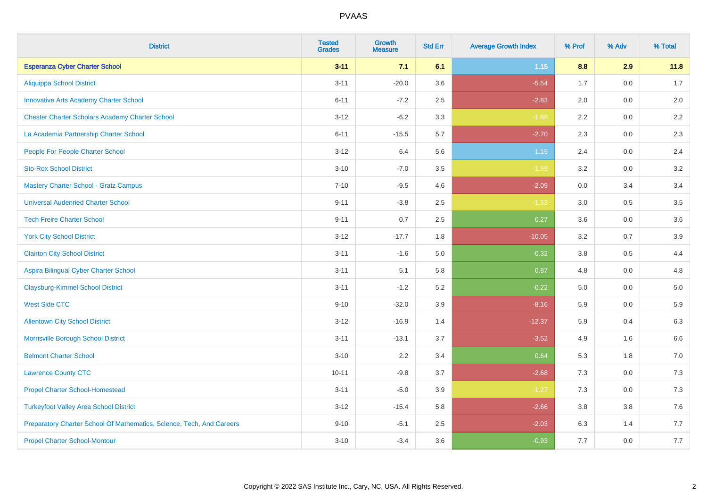| <b>District</b>                                                       | <b>Tested</b><br><b>Grades</b> | <b>Growth</b><br><b>Measure</b> | <b>Std Err</b> | <b>Average Growth Index</b> | % Prof | % Adv   | % Total |
|-----------------------------------------------------------------------|--------------------------------|---------------------------------|----------------|-----------------------------|--------|---------|---------|
| <b>Esperanza Cyber Charter School</b>                                 | $3 - 11$                       | 7.1                             | 6.1            | 1.15                        | 8.8    | 2.9     | 11.8    |
| <b>Aliquippa School District</b>                                      | $3 - 11$                       | $-20.0$                         | 3.6            | $-5.54$                     | 1.7    | 0.0     | 1.7     |
| <b>Innovative Arts Academy Charter School</b>                         | $6 - 11$                       | $-7.2$                          | 2.5            | $-2.83$                     | 2.0    | 0.0     | 2.0     |
| <b>Chester Charter Scholars Academy Charter School</b>                | $3 - 12$                       | $-6.2$                          | 3.3            | $-1.88$                     | 2.2    | 0.0     | 2.2     |
| La Academia Partnership Charter School                                | $6 - 11$                       | $-15.5$                         | 5.7            | $-2.70$                     | 2.3    | 0.0     | 2.3     |
| People For People Charter School                                      | $3 - 12$                       | 6.4                             | 5.6            | $1.15$                      | 2.4    | 0.0     | 2.4     |
| <b>Sto-Rox School District</b>                                        | $3 - 10$                       | $-7.0$                          | 3.5            | $-1.99$                     | 3.2    | 0.0     | 3.2     |
| <b>Mastery Charter School - Gratz Campus</b>                          | $7 - 10$                       | $-9.5$                          | 4.6            | $-2.09$                     | 0.0    | 3.4     | 3.4     |
| <b>Universal Audenried Charter School</b>                             | $9 - 11$                       | $-3.8$                          | 2.5            | $-1.53$                     | 3.0    | 0.5     | 3.5     |
| <b>Tech Freire Charter School</b>                                     | $9 - 11$                       | 0.7                             | 2.5            | 0.27                        | 3.6    | 0.0     | 3.6     |
| <b>York City School District</b>                                      | $3 - 12$                       | $-17.7$                         | 1.8            | $-10.05$                    | 3.2    | 0.7     | 3.9     |
| <b>Clairton City School District</b>                                  | $3 - 11$                       | $-1.6$                          | 5.0            | $-0.32$                     | 3.8    | 0.5     | 4.4     |
| Aspira Bilingual Cyber Charter School                                 | $3 - 11$                       | 5.1                             | 5.8            | 0.87                        | 4.8    | $0.0\,$ | 4.8     |
| <b>Claysburg-Kimmel School District</b>                               | $3 - 11$                       | $-1.2$                          | 5.2            | $-0.22$                     | 5.0    | 0.0     | $5.0$   |
| <b>West Side CTC</b>                                                  | $9 - 10$                       | $-32.0$                         | 3.9            | $-8.16$                     | 5.9    | 0.0     | 5.9     |
| <b>Allentown City School District</b>                                 | $3 - 12$                       | $-16.9$                         | 1.4            | $-12.37$                    | 5.9    | 0.4     | 6.3     |
| Morrisville Borough School District                                   | $3 - 11$                       | $-13.1$                         | 3.7            | $-3.52$                     | 4.9    | 1.6     | 6.6     |
| <b>Belmont Charter School</b>                                         | $3 - 10$                       | 2.2                             | 3.4            | 0.64                        | 5.3    | 1.8     | $7.0$   |
| <b>Lawrence County CTC</b>                                            | $10 - 11$                      | $-9.8$                          | 3.7            | $-2.68$                     | 7.3    | 0.0     | 7.3     |
| <b>Propel Charter School-Homestead</b>                                | $3 - 11$                       | $-5.0$                          | 3.9            | $-1.27$                     | 7.3    | 0.0     | $7.3$   |
| <b>Turkeyfoot Valley Area School District</b>                         | $3 - 12$                       | $-15.4$                         | 5.8            | $-2.66$                     | 3.8    | 3.8     | 7.6     |
| Preparatory Charter School Of Mathematics, Science, Tech, And Careers | $9 - 10$                       | $-5.1$                          | 2.5            | $-2.03$                     | 6.3    | 1.4     | 7.7     |
| <b>Propel Charter School-Montour</b>                                  | $3 - 10$                       | $-3.4$                          | 3.6            | $-0.93$                     | 7.7    | 0.0     | 7.7     |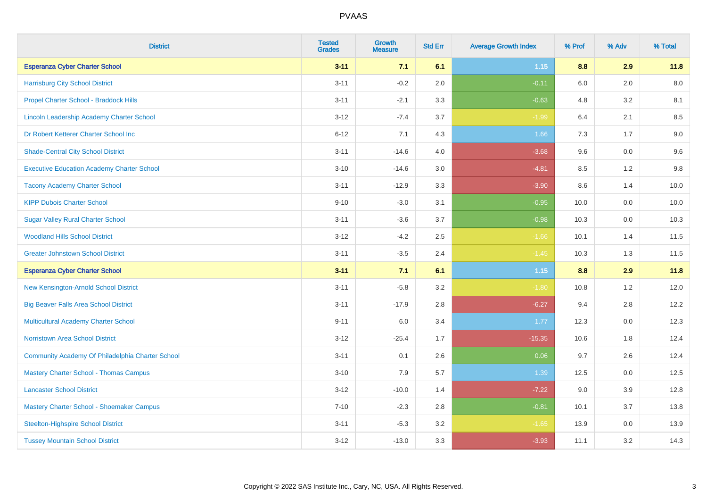| <b>District</b>                                   | <b>Tested</b><br><b>Grades</b> | Growth<br><b>Measure</b> | <b>Std Err</b> | <b>Average Growth Index</b> | % Prof  | % Adv | % Total |
|---------------------------------------------------|--------------------------------|--------------------------|----------------|-----------------------------|---------|-------|---------|
| <b>Esperanza Cyber Charter School</b>             | $3 - 11$                       | 7.1                      | 6.1            | $1.15$                      | 8.8     | 2.9   | 11.8    |
| <b>Harrisburg City School District</b>            | $3 - 11$                       | $-0.2$                   | 2.0            | $-0.11$                     | 6.0     | 2.0   | 8.0     |
| Propel Charter School - Braddock Hills            | $3 - 11$                       | $-2.1$                   | 3.3            | $-0.63$                     | 4.8     | 3.2   | 8.1     |
| <b>Lincoln Leadership Academy Charter School</b>  | $3 - 12$                       | $-7.4$                   | 3.7            | $-1.99$                     | $6.4\,$ | 2.1   | 8.5     |
| Dr Robert Ketterer Charter School Inc             | $6 - 12$                       | 7.1                      | 4.3            | 1.66                        | 7.3     | 1.7   | $9.0\,$ |
| <b>Shade-Central City School District</b>         | $3 - 11$                       | $-14.6$                  | 4.0            | $-3.68$                     | 9.6     | 0.0   | 9.6     |
| <b>Executive Education Academy Charter School</b> | $3 - 10$                       | $-14.6$                  | 3.0            | $-4.81$                     | 8.5     | 1.2   | $9.8\,$ |
| <b>Tacony Academy Charter School</b>              | $3 - 11$                       | $-12.9$                  | 3.3            | $-3.90$                     | 8.6     | 1.4   | 10.0    |
| <b>KIPP Dubois Charter School</b>                 | $9 - 10$                       | $-3.0$                   | 3.1            | $-0.95$                     | 10.0    | 0.0   | 10.0    |
| <b>Sugar Valley Rural Charter School</b>          | $3 - 11$                       | $-3.6$                   | 3.7            | $-0.98$                     | 10.3    | 0.0   | 10.3    |
| <b>Woodland Hills School District</b>             | $3 - 12$                       | $-4.2$                   | 2.5            | $-1.66$                     | 10.1    | 1.4   | 11.5    |
| <b>Greater Johnstown School District</b>          | $3 - 11$                       | $-3.5$                   | 2.4            | $-1.45$                     | 10.3    | 1.3   | 11.5    |
| <b>Esperanza Cyber Charter School</b>             | $3 - 11$                       | 7.1                      | 6.1            | $1.15$                      | 8.8     | 2.9   | 11.8    |
| New Kensington-Arnold School District             | $3 - 11$                       | $-5.8$                   | 3.2            | $-1.80$                     | 10.8    | 1.2   | 12.0    |
| <b>Big Beaver Falls Area School District</b>      | $3 - 11$                       | $-17.9$                  | 2.8            | $-6.27$                     | 9.4     | 2.8   | 12.2    |
| Multicultural Academy Charter School              | $9 - 11$                       | 6.0                      | 3.4            | 1.77                        | 12.3    | 0.0   | 12.3    |
| Norristown Area School District                   | $3 - 12$                       | $-25.4$                  | 1.7            | $-15.35$                    | 10.6    | 1.8   | 12.4    |
| Community Academy Of Philadelphia Charter School  | $3 - 11$                       | 0.1                      | 2.6            | 0.06                        | 9.7     | 2.6   | 12.4    |
| <b>Mastery Charter School - Thomas Campus</b>     | $3 - 10$                       | 7.9                      | 5.7            | 1.39                        | 12.5    | 0.0   | 12.5    |
| <b>Lancaster School District</b>                  | $3 - 12$                       | $-10.0$                  | 1.4            | $-7.22$                     | 9.0     | 3.9   | 12.8    |
| Mastery Charter School - Shoemaker Campus         | $7 - 10$                       | $-2.3$                   | 2.8            | $-0.81$                     | 10.1    | 3.7   | 13.8    |
| Steelton-Highspire School District                | $3 - 11$                       | $-5.3$                   | 3.2            | $-1.65$                     | 13.9    | 0.0   | 13.9    |
| <b>Tussey Mountain School District</b>            | $3 - 12$                       | $-13.0$                  | 3.3            | $-3.93$                     | 11.1    | 3.2   | 14.3    |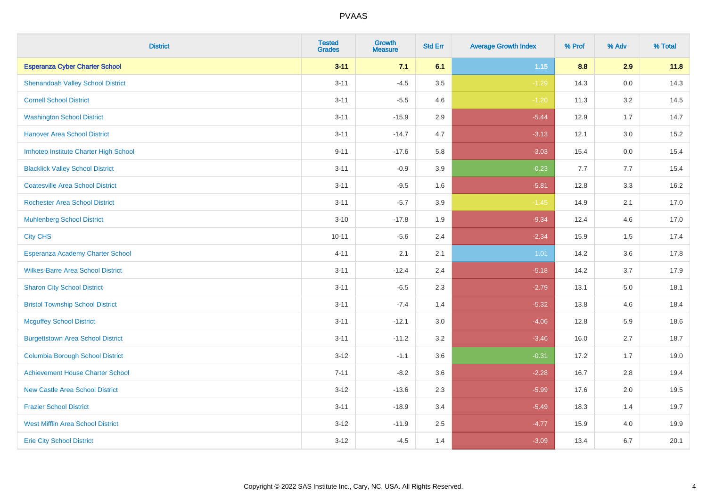| <b>District</b>                          | <b>Tested</b><br><b>Grades</b> | <b>Growth</b><br><b>Measure</b> | <b>Std Err</b> | <b>Average Growth Index</b> | % Prof | % Adv | % Total |
|------------------------------------------|--------------------------------|---------------------------------|----------------|-----------------------------|--------|-------|---------|
| <b>Esperanza Cyber Charter School</b>    | $3 - 11$                       | 7.1                             | 6.1            | 1.15                        | 8.8    | 2.9   | 11.8    |
| <b>Shenandoah Valley School District</b> | $3 - 11$                       | $-4.5$                          | 3.5            | $-1.29$                     | 14.3   | 0.0   | 14.3    |
| <b>Cornell School District</b>           | $3 - 11$                       | $-5.5$                          | 4.6            | $-1.20$                     | 11.3   | 3.2   | 14.5    |
| <b>Washington School District</b>        | $3 - 11$                       | $-15.9$                         | 2.9            | $-5.44$                     | 12.9   | 1.7   | 14.7    |
| <b>Hanover Area School District</b>      | $3 - 11$                       | $-14.7$                         | 4.7            | $-3.13$                     | 12.1   | 3.0   | 15.2    |
| Imhotep Institute Charter High School    | $9 - 11$                       | $-17.6$                         | 5.8            | $-3.03$                     | 15.4   | 0.0   | 15.4    |
| <b>Blacklick Valley School District</b>  | $3 - 11$                       | $-0.9$                          | 3.9            | $-0.23$                     | 7.7    | 7.7   | 15.4    |
| <b>Coatesville Area School District</b>  | $3 - 11$                       | $-9.5$                          | 1.6            | $-5.81$                     | 12.8   | 3.3   | 16.2    |
| <b>Rochester Area School District</b>    | $3 - 11$                       | $-5.7$                          | 3.9            | $-1.45$                     | 14.9   | 2.1   | 17.0    |
| <b>Muhlenberg School District</b>        | $3 - 10$                       | $-17.8$                         | 1.9            | $-9.34$                     | 12.4   | 4.6   | 17.0    |
| <b>City CHS</b>                          | $10 - 11$                      | $-5.6$                          | 2.4            | $-2.34$                     | 15.9   | 1.5   | 17.4    |
| Esperanza Academy Charter School         | $4 - 11$                       | 2.1                             | 2.1            | 1.01                        | 14.2   | 3.6   | 17.8    |
| <b>Wilkes-Barre Area School District</b> | $3 - 11$                       | $-12.4$                         | 2.4            | $-5.18$                     | 14.2   | 3.7   | 17.9    |
| <b>Sharon City School District</b>       | $3 - 11$                       | $-6.5$                          | 2.3            | $-2.79$                     | 13.1   | 5.0   | 18.1    |
| <b>Bristol Township School District</b>  | $3 - 11$                       | $-7.4$                          | 1.4            | $-5.32$                     | 13.8   | 4.6   | 18.4    |
| <b>Mcguffey School District</b>          | $3 - 11$                       | $-12.1$                         | 3.0            | $-4.06$                     | 12.8   | 5.9   | 18.6    |
| <b>Burgettstown Area School District</b> | $3 - 11$                       | $-11.2$                         | 3.2            | $-3.46$                     | 16.0   | 2.7   | 18.7    |
| <b>Columbia Borough School District</b>  | $3 - 12$                       | $-1.1$                          | 3.6            | $-0.31$                     | 17.2   | 1.7   | 19.0    |
| <b>Achievement House Charter School</b>  | $7 - 11$                       | $-8.2$                          | 3.6            | $-2.28$                     | 16.7   | 2.8   | 19.4    |
| <b>New Castle Area School District</b>   | $3 - 12$                       | $-13.6$                         | 2.3            | $-5.99$                     | 17.6   | 2.0   | 19.5    |
| <b>Frazier School District</b>           | $3 - 11$                       | $-18.9$                         | 3.4            | $-5.49$                     | 18.3   | 1.4   | 19.7    |
| <b>West Mifflin Area School District</b> | $3 - 12$                       | $-11.9$                         | 2.5            | $-4.77$                     | 15.9   | 4.0   | 19.9    |
| <b>Erie City School District</b>         | $3 - 12$                       | $-4.5$                          | 1.4            | $-3.09$                     | 13.4   | 6.7   | 20.1    |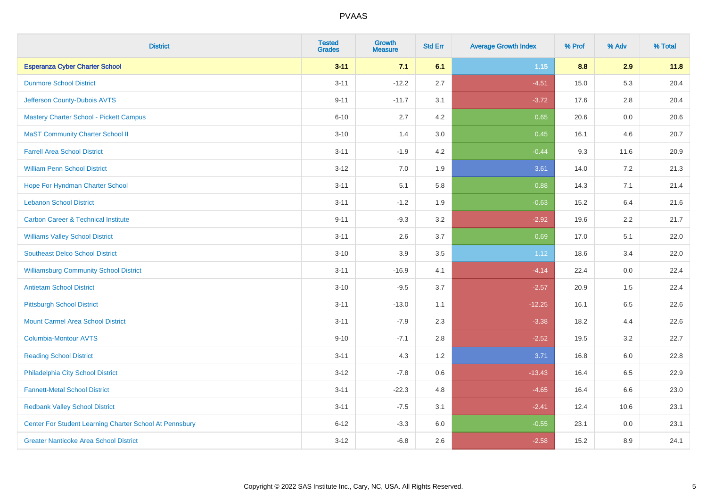| <b>District</b>                                         | <b>Tested</b><br><b>Grades</b> | <b>Growth</b><br><b>Measure</b> | <b>Std Err</b> | <b>Average Growth Index</b> | % Prof | % Adv   | % Total |
|---------------------------------------------------------|--------------------------------|---------------------------------|----------------|-----------------------------|--------|---------|---------|
| <b>Esperanza Cyber Charter School</b>                   | $3 - 11$                       | 7.1                             | 6.1            | 1.15                        | 8.8    | 2.9     | 11.8    |
| <b>Dunmore School District</b>                          | $3 - 11$                       | $-12.2$                         | 2.7            | $-4.51$                     | 15.0   | 5.3     | 20.4    |
| Jefferson County-Dubois AVTS                            | $9 - 11$                       | $-11.7$                         | 3.1            | $-3.72$                     | 17.6   | 2.8     | 20.4    |
| Mastery Charter School - Pickett Campus                 | $6 - 10$                       | 2.7                             | 4.2            | 0.65                        | 20.6   | $0.0\,$ | 20.6    |
| <b>MaST Community Charter School II</b>                 | $3 - 10$                       | 1.4                             | 3.0            | 0.45                        | 16.1   | 4.6     | 20.7    |
| <b>Farrell Area School District</b>                     | $3 - 11$                       | $-1.9$                          | 4.2            | $-0.44$                     | 9.3    | 11.6    | 20.9    |
| <b>William Penn School District</b>                     | $3 - 12$                       | 7.0                             | 1.9            | 3.61                        | 14.0   | 7.2     | 21.3    |
| Hope For Hyndman Charter School                         | $3 - 11$                       | 5.1                             | 5.8            | 0.88                        | 14.3   | 7.1     | 21.4    |
| <b>Lebanon School District</b>                          | $3 - 11$                       | $-1.2$                          | 1.9            | $-0.63$                     | 15.2   | 6.4     | 21.6    |
| <b>Carbon Career &amp; Technical Institute</b>          | $9 - 11$                       | $-9.3$                          | 3.2            | $-2.92$                     | 19.6   | 2.2     | 21.7    |
| <b>Williams Valley School District</b>                  | $3 - 11$                       | 2.6                             | 3.7            | 0.69                        | 17.0   | 5.1     | 22.0    |
| <b>Southeast Delco School District</b>                  | $3 - 10$                       | 3.9                             | 3.5            | 1.12                        | 18.6   | 3.4     | 22.0    |
| <b>Williamsburg Community School District</b>           | $3 - 11$                       | $-16.9$                         | 4.1            | $-4.14$                     | 22.4   | 0.0     | 22.4    |
| <b>Antietam School District</b>                         | $3 - 10$                       | $-9.5$                          | 3.7            | $-2.57$                     | 20.9   | 1.5     | 22.4    |
| <b>Pittsburgh School District</b>                       | $3 - 11$                       | $-13.0$                         | 1.1            | $-12.25$                    | 16.1   | 6.5     | 22.6    |
| <b>Mount Carmel Area School District</b>                | $3 - 11$                       | $-7.9$                          | 2.3            | $-3.38$                     | 18.2   | 4.4     | 22.6    |
| <b>Columbia-Montour AVTS</b>                            | $9 - 10$                       | $-7.1$                          | 2.8            | $-2.52$                     | 19.5   | 3.2     | 22.7    |
| <b>Reading School District</b>                          | $3 - 11$                       | 4.3                             | 1.2            | 3.71                        | 16.8   | 6.0     | 22.8    |
| Philadelphia City School District                       | $3 - 12$                       | $-7.8$                          | 0.6            | $-13.43$                    | 16.4   | 6.5     | 22.9    |
| <b>Fannett-Metal School District</b>                    | $3 - 11$                       | $-22.3$                         | 4.8            | $-4.65$                     | 16.4   | 6.6     | 23.0    |
| <b>Redbank Valley School District</b>                   | $3 - 11$                       | $-7.5$                          | 3.1            | $-2.41$                     | 12.4   | 10.6    | 23.1    |
| Center For Student Learning Charter School At Pennsbury | $6 - 12$                       | $-3.3$                          | 6.0            | $-0.55$                     | 23.1   | 0.0     | 23.1    |
| <b>Greater Nanticoke Area School District</b>           | $3 - 12$                       | $-6.8$                          | 2.6            | $-2.58$                     | 15.2   | 8.9     | 24.1    |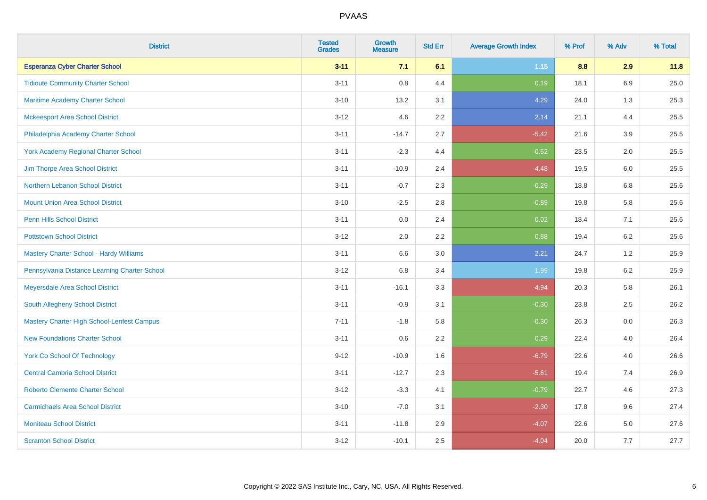| <b>District</b>                                   | <b>Tested</b><br><b>Grades</b> | <b>Growth</b><br><b>Measure</b> | <b>Std Err</b> | <b>Average Growth Index</b> | % Prof | % Adv   | % Total |
|---------------------------------------------------|--------------------------------|---------------------------------|----------------|-----------------------------|--------|---------|---------|
| <b>Esperanza Cyber Charter School</b>             | $3 - 11$                       | 7.1                             | 6.1            | 1.15                        | 8.8    | 2.9     | 11.8    |
| <b>Tidioute Community Charter School</b>          | $3 - 11$                       | $0.8\,$                         | 4.4            | 0.19                        | 18.1   | $6.9\,$ | 25.0    |
| <b>Maritime Academy Charter School</b>            | $3 - 10$                       | 13.2                            | 3.1            | 4.29                        | 24.0   | 1.3     | 25.3    |
| <b>Mckeesport Area School District</b>            | $3 - 12$                       | 4.6                             | 2.2            | 2.14                        | 21.1   | 4.4     | 25.5    |
| Philadelphia Academy Charter School               | $3 - 11$                       | $-14.7$                         | 2.7            | $-5.42$                     | 21.6   | 3.9     | 25.5    |
| <b>York Academy Regional Charter School</b>       | $3 - 11$                       | $-2.3$                          | 4.4            | $-0.52$                     | 23.5   | 2.0     | 25.5    |
| Jim Thorpe Area School District                   | $3 - 11$                       | $-10.9$                         | 2.4            | $-4.48$                     | 19.5   | 6.0     | 25.5    |
| Northern Lebanon School District                  | $3 - 11$                       | $-0.7$                          | 2.3            | $-0.29$                     | 18.8   | 6.8     | 25.6    |
| <b>Mount Union Area School District</b>           | $3 - 10$                       | $-2.5$                          | 2.8            | $-0.89$                     | 19.8   | 5.8     | 25.6    |
| <b>Penn Hills School District</b>                 | $3 - 11$                       | 0.0                             | 2.4            | 0.02                        | 18.4   | 7.1     | 25.6    |
| <b>Pottstown School District</b>                  | $3 - 12$                       | 2.0                             | 2.2            | 0.88                        | 19.4   | 6.2     | 25.6    |
| <b>Mastery Charter School - Hardy Williams</b>    | $3 - 11$                       | 6.6                             | 3.0            | 2.21                        | 24.7   | 1.2     | 25.9    |
| Pennsylvania Distance Learning Charter School     | $3 - 12$                       | $6.8\,$                         | 3.4            | 1.99                        | 19.8   | $6.2\,$ | 25.9    |
| Meyersdale Area School District                   | $3 - 11$                       | $-16.1$                         | 3.3            | $-4.94$                     | 20.3   | 5.8     | 26.1    |
| South Allegheny School District                   | $3 - 11$                       | $-0.9$                          | 3.1            | $-0.30$                     | 23.8   | 2.5     | 26.2    |
| <b>Mastery Charter High School-Lenfest Campus</b> | $7 - 11$                       | $-1.8$                          | 5.8            | $-0.30$                     | 26.3   | $0.0\,$ | 26.3    |
| <b>New Foundations Charter School</b>             | $3 - 11$                       | 0.6                             | 2.2            | 0.29                        | 22.4   | 4.0     | 26.4    |
| <b>York Co School Of Technology</b>               | $9 - 12$                       | $-10.9$                         | 1.6            | $-6.79$                     | 22.6   | 4.0     | 26.6    |
| <b>Central Cambria School District</b>            | $3 - 11$                       | $-12.7$                         | 2.3            | $-5.61$                     | 19.4   | 7.4     | 26.9    |
| <b>Roberto Clemente Charter School</b>            | $3 - 12$                       | $-3.3$                          | 4.1            | $-0.79$                     | 22.7   | 4.6     | 27.3    |
| <b>Carmichaels Area School District</b>           | $3 - 10$                       | $-7.0$                          | 3.1            | $-2.30$                     | 17.8   | 9.6     | 27.4    |
| <b>Moniteau School District</b>                   | $3 - 11$                       | $-11.8$                         | 2.9            | $-4.07$                     | 22.6   | 5.0     | 27.6    |
| <b>Scranton School District</b>                   | $3 - 12$                       | $-10.1$                         | 2.5            | $-4.04$                     | 20.0   | 7.7     | 27.7    |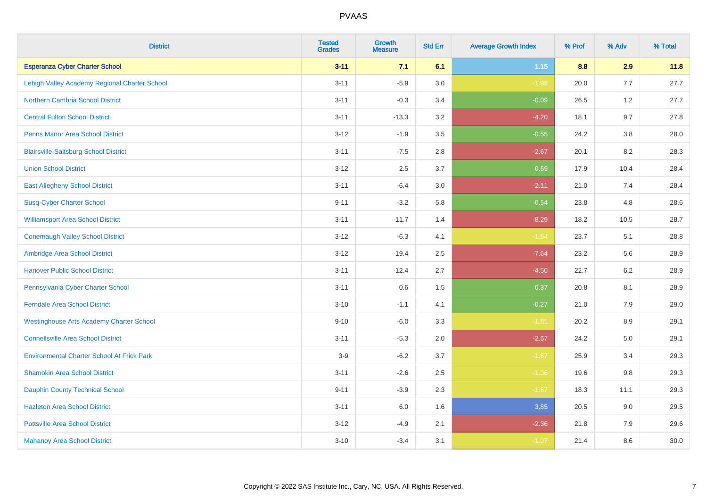| <b>District</b>                                   | <b>Tested</b><br><b>Grades</b> | <b>Growth</b><br><b>Measure</b> | <b>Std Err</b> | <b>Average Growth Index</b> | % Prof | % Adv   | % Total |
|---------------------------------------------------|--------------------------------|---------------------------------|----------------|-----------------------------|--------|---------|---------|
| <b>Esperanza Cyber Charter School</b>             | $3 - 11$                       | 7.1                             | 6.1            | $1.15$                      | 8.8    | 2.9     | 11.8    |
| Lehigh Valley Academy Regional Charter School     | $3 - 11$                       | $-5.9$                          | 3.0            | $-1.98$                     | 20.0   | 7.7     | 27.7    |
| <b>Northern Cambria School District</b>           | $3 - 11$                       | $-0.3$                          | 3.4            | $-0.09$                     | 26.5   | 1.2     | 27.7    |
| <b>Central Fulton School District</b>             | $3 - 11$                       | $-13.3$                         | 3.2            | $-4.20$                     | 18.1   | 9.7     | 27.8    |
| <b>Penns Manor Area School District</b>           | $3 - 12$                       | $-1.9$                          | 3.5            | $-0.55$                     | 24.2   | 3.8     | 28.0    |
| <b>Blairsville-Saltsburg School District</b>      | $3 - 11$                       | $-7.5$                          | 2.8            | $-2.67$                     | 20.1   | 8.2     | 28.3    |
| <b>Union School District</b>                      | $3 - 12$                       | 2.5                             | 3.7            | 0.69                        | 17.9   | 10.4    | 28.4    |
| <b>East Allegheny School District</b>             | $3 - 11$                       | $-6.4$                          | 3.0            | $-2.11$                     | 21.0   | 7.4     | 28.4    |
| <b>Susq-Cyber Charter School</b>                  | $9 - 11$                       | $-3.2$                          | 5.8            | $-0.54$                     | 23.8   | 4.8     | 28.6    |
| <b>Williamsport Area School District</b>          | $3 - 11$                       | $-11.7$                         | 1.4            | $-8.29$                     | 18.2   | 10.5    | 28.7    |
| <b>Conemaugh Valley School District</b>           | $3 - 12$                       | $-6.3$                          | 4.1            | $-1.54$                     | 23.7   | 5.1     | 28.8    |
| Ambridge Area School District                     | $3 - 12$                       | $-19.4$                         | 2.5            | $-7.64$                     | 23.2   | 5.6     | 28.9    |
| <b>Hanover Public School District</b>             | $3 - 11$                       | $-12.4$                         | 2.7            | $-4.50$                     | 22.7   | $6.2\,$ | 28.9    |
| Pennsylvania Cyber Charter School                 | $3 - 11$                       | 0.6                             | 1.5            | 0.37                        | 20.8   | 8.1     | 28.9    |
| <b>Ferndale Area School District</b>              | $3 - 10$                       | $-1.1$                          | 4.1            | $-0.27$                     | 21.0   | 7.9     | 29.0    |
| <b>Westinghouse Arts Academy Charter School</b>   | $9 - 10$                       | $-6.0$                          | 3.3            | $-1.81$                     | 20.2   | 8.9     | 29.1    |
| <b>Connellsville Area School District</b>         | $3 - 11$                       | $-5.3$                          | 2.0            | $-2.67$                     | 24.2   | 5.0     | 29.1    |
| <b>Environmental Charter School At Frick Park</b> | $3-9$                          | $-6.2$                          | 3.7            | $-1.67$                     | 25.9   | 3.4     | 29.3    |
| <b>Shamokin Area School District</b>              | $3 - 11$                       | $-2.6$                          | 2.5            | $-1.06$                     | 19.6   | 9.8     | 29.3    |
| <b>Dauphin County Technical School</b>            | $9 - 11$                       | $-3.9$                          | 2.3            | $-1.67$                     | 18.3   | 11.1    | 29.3    |
| <b>Hazleton Area School District</b>              | $3 - 11$                       | 6.0                             | 1.6            | 3.85                        | 20.5   | 9.0     | 29.5    |
| <b>Pottsville Area School District</b>            | $3 - 12$                       | $-4.9$                          | 2.1            | $-2.36$                     | 21.8   | 7.9     | 29.6    |
| <b>Mahanoy Area School District</b>               | $3 - 10$                       | $-3.4$                          | 3.1            | $-1.07$                     | 21.4   | 8.6     | 30.0    |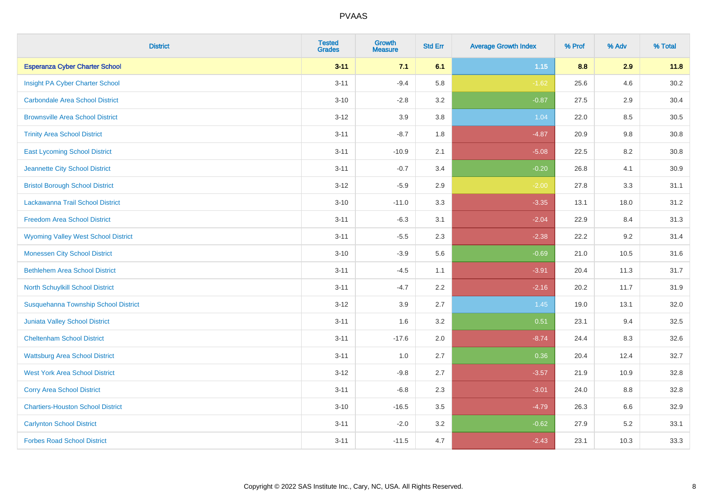| <b>District</b>                            | <b>Tested</b><br><b>Grades</b> | <b>Growth</b><br><b>Measure</b> | <b>Std Err</b> | <b>Average Growth Index</b> | % Prof | % Adv | % Total |
|--------------------------------------------|--------------------------------|---------------------------------|----------------|-----------------------------|--------|-------|---------|
| <b>Esperanza Cyber Charter School</b>      | $3 - 11$                       | 7.1                             | 6.1            | 1.15                        | 8.8    | 2.9   | 11.8    |
| Insight PA Cyber Charter School            | $3 - 11$                       | $-9.4$                          | 5.8            | $-1.62$                     | 25.6   | 4.6   | 30.2    |
| <b>Carbondale Area School District</b>     | $3 - 10$                       | $-2.8$                          | 3.2            | $-0.87$                     | 27.5   | 2.9   | 30.4    |
| <b>Brownsville Area School District</b>    | $3 - 12$                       | 3.9                             | 3.8            | 1.04                        | 22.0   | 8.5   | 30.5    |
| <b>Trinity Area School District</b>        | $3 - 11$                       | $-8.7$                          | 1.8            | $-4.87$                     | 20.9   | 9.8   | 30.8    |
| <b>East Lycoming School District</b>       | $3 - 11$                       | $-10.9$                         | 2.1            | $-5.08$                     | 22.5   | 8.2   | 30.8    |
| Jeannette City School District             | $3 - 11$                       | $-0.7$                          | 3.4            | $-0.20$                     | 26.8   | 4.1   | 30.9    |
| <b>Bristol Borough School District</b>     | $3 - 12$                       | $-5.9$                          | 2.9            | $-2.00$                     | 27.8   | 3.3   | 31.1    |
| Lackawanna Trail School District           | $3 - 10$                       | $-11.0$                         | 3.3            | $-3.35$                     | 13.1   | 18.0  | 31.2    |
| <b>Freedom Area School District</b>        | $3 - 11$                       | $-6.3$                          | 3.1            | $-2.04$                     | 22.9   | 8.4   | 31.3    |
| <b>Wyoming Valley West School District</b> | $3 - 11$                       | $-5.5$                          | 2.3            | $-2.38$                     | 22.2   | 9.2   | 31.4    |
| <b>Monessen City School District</b>       | $3 - 10$                       | $-3.9$                          | 5.6            | $-0.69$                     | 21.0   | 10.5  | 31.6    |
| <b>Bethlehem Area School District</b>      | $3 - 11$                       | $-4.5$                          | 1.1            | $-3.91$                     | 20.4   | 11.3  | 31.7    |
| <b>North Schuylkill School District</b>    | $3 - 11$                       | $-4.7$                          | 2.2            | $-2.16$                     | 20.2   | 11.7  | 31.9    |
| Susquehanna Township School District       | $3 - 12$                       | 3.9                             | 2.7            | 1.45                        | 19.0   | 13.1  | 32.0    |
| <b>Juniata Valley School District</b>      | $3 - 11$                       | 1.6                             | 3.2            | 0.51                        | 23.1   | 9.4   | 32.5    |
| <b>Cheltenham School District</b>          | $3 - 11$                       | $-17.6$                         | 2.0            | $-8.74$                     | 24.4   | 8.3   | 32.6    |
| <b>Wattsburg Area School District</b>      | $3 - 11$                       | 1.0                             | 2.7            | 0.36                        | 20.4   | 12.4  | 32.7    |
| <b>West York Area School District</b>      | $3 - 12$                       | $-9.8$                          | 2.7            | $-3.57$                     | 21.9   | 10.9  | 32.8    |
| <b>Corry Area School District</b>          | $3 - 11$                       | $-6.8$                          | 2.3            | $-3.01$                     | 24.0   | 8.8   | 32.8    |
| <b>Chartiers-Houston School District</b>   | $3 - 10$                       | $-16.5$                         | 3.5            | $-4.79$                     | 26.3   | 6.6   | 32.9    |
| <b>Carlynton School District</b>           | $3 - 11$                       | $-2.0$                          | 3.2            | $-0.62$                     | 27.9   | 5.2   | 33.1    |
| <b>Forbes Road School District</b>         | $3 - 11$                       | $-11.5$                         | 4.7            | $-2.43$                     | 23.1   | 10.3  | 33.3    |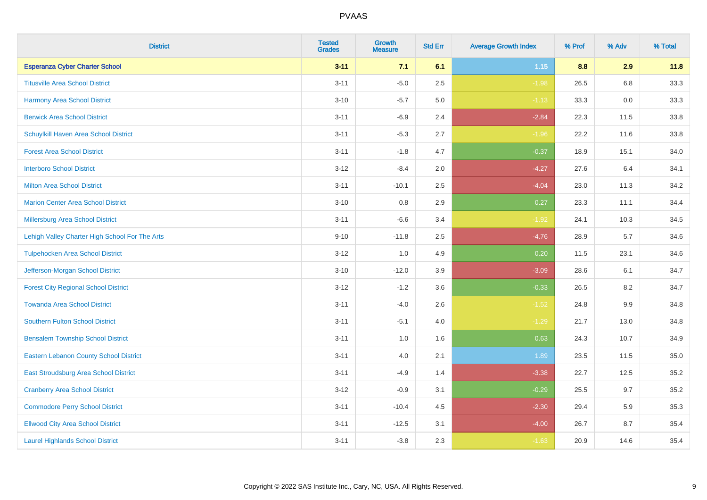| <b>District</b>                                | <b>Tested</b><br><b>Grades</b> | <b>Growth</b><br><b>Measure</b> | <b>Std Err</b> | <b>Average Growth Index</b> | % Prof | % Adv | % Total |
|------------------------------------------------|--------------------------------|---------------------------------|----------------|-----------------------------|--------|-------|---------|
| <b>Esperanza Cyber Charter School</b>          | $3 - 11$                       | 7.1                             | 6.1            | $1.15$                      | 8.8    | 2.9   | 11.8    |
| <b>Titusville Area School District</b>         | $3 - 11$                       | $-5.0$                          | 2.5            | $-1.98$                     | 26.5   | 6.8   | 33.3    |
| <b>Harmony Area School District</b>            | $3 - 10$                       | $-5.7$                          | 5.0            | $-1.13$                     | 33.3   | 0.0   | 33.3    |
| <b>Berwick Area School District</b>            | $3 - 11$                       | $-6.9$                          | 2.4            | $-2.84$                     | 22.3   | 11.5  | 33.8    |
| Schuylkill Haven Area School District          | $3 - 11$                       | $-5.3$                          | 2.7            | $-1.96$                     | 22.2   | 11.6  | 33.8    |
| <b>Forest Area School District</b>             | $3 - 11$                       | $-1.8$                          | 4.7            | $-0.37$                     | 18.9   | 15.1  | 34.0    |
| <b>Interboro School District</b>               | $3 - 12$                       | $-8.4$                          | 2.0            | $-4.27$                     | 27.6   | 6.4   | 34.1    |
| <b>Milton Area School District</b>             | $3 - 11$                       | $-10.1$                         | 2.5            | $-4.04$                     | 23.0   | 11.3  | 34.2    |
| <b>Marion Center Area School District</b>      | $3 - 10$                       | 0.8                             | 2.9            | 0.27                        | 23.3   | 11.1  | 34.4    |
| <b>Millersburg Area School District</b>        | $3 - 11$                       | $-6.6$                          | 3.4            | $-1.92$                     | 24.1   | 10.3  | 34.5    |
| Lehigh Valley Charter High School For The Arts | $9 - 10$                       | $-11.8$                         | 2.5            | $-4.76$                     | 28.9   | 5.7   | 34.6    |
| <b>Tulpehocken Area School District</b>        | $3 - 12$                       | 1.0                             | 4.9            | 0.20                        | 11.5   | 23.1  | 34.6    |
| Jefferson-Morgan School District               | $3 - 10$                       | $-12.0$                         | 3.9            | $-3.09$                     | 28.6   | 6.1   | 34.7    |
| <b>Forest City Regional School District</b>    | $3 - 12$                       | $-1.2$                          | 3.6            | $-0.33$                     | 26.5   | 8.2   | 34.7    |
| <b>Towanda Area School District</b>            | $3 - 11$                       | $-4.0$                          | 2.6            | $-1.52$                     | 24.8   | 9.9   | 34.8    |
| <b>Southern Fulton School District</b>         | $3 - 11$                       | $-5.1$                          | 4.0            | $-1.29$                     | 21.7   | 13.0  | 34.8    |
| <b>Bensalem Township School District</b>       | $3 - 11$                       | 1.0                             | 1.6            | 0.63                        | 24.3   | 10.7  | 34.9    |
| <b>Eastern Lebanon County School District</b>  | $3 - 11$                       | 4.0                             | 2.1            | 1.89                        | 23.5   | 11.5  | 35.0    |
| East Stroudsburg Area School District          | $3 - 11$                       | $-4.9$                          | 1.4            | $-3.38$                     | 22.7   | 12.5  | 35.2    |
| <b>Cranberry Area School District</b>          | $3 - 12$                       | $-0.9$                          | 3.1            | $-0.29$                     | 25.5   | 9.7   | 35.2    |
| <b>Commodore Perry School District</b>         | $3 - 11$                       | $-10.4$                         | 4.5            | $-2.30$                     | 29.4   | 5.9   | 35.3    |
| <b>Ellwood City Area School District</b>       | $3 - 11$                       | $-12.5$                         | 3.1            | $-4.00$                     | 26.7   | 8.7   | 35.4    |
| <b>Laurel Highlands School District</b>        | $3 - 11$                       | $-3.8$                          | 2.3            | $-1.63$                     | 20.9   | 14.6  | 35.4    |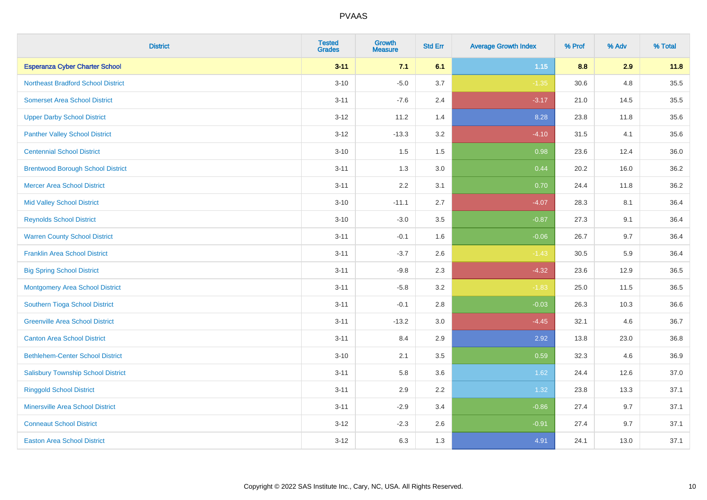| <b>District</b>                           | <b>Tested</b><br><b>Grades</b> | <b>Growth</b><br><b>Measure</b> | <b>Std Err</b> | <b>Average Growth Index</b> | % Prof | % Adv | % Total |
|-------------------------------------------|--------------------------------|---------------------------------|----------------|-----------------------------|--------|-------|---------|
| <b>Esperanza Cyber Charter School</b>     | $3 - 11$                       | 7.1                             | 6.1            | 1.15                        | 8.8    | 2.9   | 11.8    |
| <b>Northeast Bradford School District</b> | $3 - 10$                       | $-5.0$                          | 3.7            | $-1.35$                     | 30.6   | 4.8   | 35.5    |
| <b>Somerset Area School District</b>      | $3 - 11$                       | $-7.6$                          | 2.4            | $-3.17$                     | 21.0   | 14.5  | 35.5    |
| <b>Upper Darby School District</b>        | $3 - 12$                       | 11.2                            | 1.4            | 8.28                        | 23.8   | 11.8  | 35.6    |
| <b>Panther Valley School District</b>     | $3 - 12$                       | $-13.3$                         | 3.2            | $-4.10$                     | 31.5   | 4.1   | 35.6    |
| <b>Centennial School District</b>         | $3 - 10$                       | 1.5                             | 1.5            | 0.98                        | 23.6   | 12.4  | 36.0    |
| <b>Brentwood Borough School District</b>  | $3 - 11$                       | 1.3                             | 3.0            | 0.44                        | 20.2   | 16.0  | 36.2    |
| <b>Mercer Area School District</b>        | $3 - 11$                       | 2.2                             | 3.1            | 0.70                        | 24.4   | 11.8  | 36.2    |
| <b>Mid Valley School District</b>         | $3 - 10$                       | $-11.1$                         | 2.7            | $-4.07$                     | 28.3   | 8.1   | 36.4    |
| <b>Reynolds School District</b>           | $3 - 10$                       | $-3.0$                          | 3.5            | $-0.87$                     | 27.3   | 9.1   | 36.4    |
| <b>Warren County School District</b>      | $3 - 11$                       | $-0.1$                          | 1.6            | $-0.06$                     | 26.7   | 9.7   | 36.4    |
| <b>Franklin Area School District</b>      | $3 - 11$                       | $-3.7$                          | 2.6            | $-1.43$                     | 30.5   | 5.9   | 36.4    |
| <b>Big Spring School District</b>         | $3 - 11$                       | $-9.8$                          | 2.3            | $-4.32$                     | 23.6   | 12.9  | 36.5    |
| <b>Montgomery Area School District</b>    | $3 - 11$                       | $-5.8$                          | 3.2            | $-1.83$                     | 25.0   | 11.5  | 36.5    |
| Southern Tioga School District            | $3 - 11$                       | $-0.1$                          | 2.8            | $-0.03$                     | 26.3   | 10.3  | 36.6    |
| <b>Greenville Area School District</b>    | $3 - 11$                       | $-13.2$                         | 3.0            | $-4.45$                     | 32.1   | 4.6   | 36.7    |
| <b>Canton Area School District</b>        | $3 - 11$                       | 8.4                             | 2.9            | 2.92                        | 13.8   | 23.0  | 36.8    |
| <b>Bethlehem-Center School District</b>   | $3 - 10$                       | 2.1                             | 3.5            | 0.59                        | 32.3   | 4.6   | 36.9    |
| <b>Salisbury Township School District</b> | $3 - 11$                       | 5.8                             | 3.6            | 1.62                        | 24.4   | 12.6  | 37.0    |
| <b>Ringgold School District</b>           | $3 - 11$                       | 2.9                             | 2.2            | 1.32                        | 23.8   | 13.3  | 37.1    |
| <b>Minersville Area School District</b>   | $3 - 11$                       | $-2.9$                          | 3.4            | $-0.86$                     | 27.4   | 9.7   | 37.1    |
| <b>Conneaut School District</b>           | $3 - 12$                       | $-2.3$                          | 2.6            | $-0.91$                     | 27.4   | 9.7   | 37.1    |
| <b>Easton Area School District</b>        | $3 - 12$                       | 6.3                             | 1.3            | 4.91                        | 24.1   | 13.0  | 37.1    |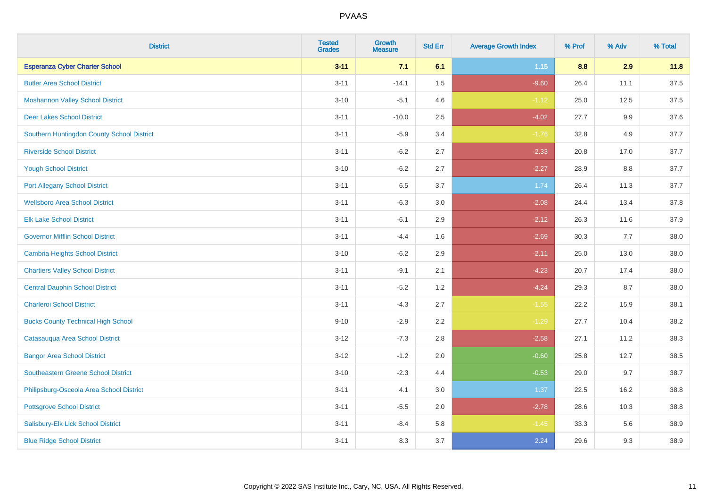| <b>District</b>                            | <b>Tested</b><br><b>Grades</b> | <b>Growth</b><br><b>Measure</b> | <b>Std Err</b> | <b>Average Growth Index</b> | % Prof | % Adv   | % Total |
|--------------------------------------------|--------------------------------|---------------------------------|----------------|-----------------------------|--------|---------|---------|
| <b>Esperanza Cyber Charter School</b>      | $3 - 11$                       | 7.1                             | 6.1            | 1.15                        | 8.8    | 2.9     | 11.8    |
| <b>Butler Area School District</b>         | $3 - 11$                       | $-14.1$                         | $1.5\,$        | $-9.60$                     | 26.4   | 11.1    | 37.5    |
| <b>Moshannon Valley School District</b>    | $3 - 10$                       | $-5.1$                          | 4.6            | $-1.12$                     | 25.0   | 12.5    | 37.5    |
| <b>Deer Lakes School District</b>          | $3 - 11$                       | $-10.0$                         | 2.5            | $-4.02$                     | 27.7   | $9.9\,$ | 37.6    |
| Southern Huntingdon County School District | $3 - 11$                       | $-5.9$                          | 3.4            | $-1.76$                     | 32.8   | 4.9     | 37.7    |
| <b>Riverside School District</b>           | $3 - 11$                       | $-6.2$                          | 2.7            | $-2.33$                     | 20.8   | 17.0    | 37.7    |
| <b>Yough School District</b>               | $3 - 10$                       | $-6.2$                          | 2.7            | $-2.27$                     | 28.9   | 8.8     | 37.7    |
| <b>Port Allegany School District</b>       | $3 - 11$                       | 6.5                             | 3.7            | 1.74                        | 26.4   | 11.3    | 37.7    |
| <b>Wellsboro Area School District</b>      | $3 - 11$                       | $-6.3$                          | 3.0            | $-2.08$                     | 24.4   | 13.4    | 37.8    |
| <b>Elk Lake School District</b>            | $3 - 11$                       | $-6.1$                          | 2.9            | $-2.12$                     | 26.3   | 11.6    | 37.9    |
| <b>Governor Mifflin School District</b>    | $3 - 11$                       | $-4.4$                          | 1.6            | $-2.69$                     | 30.3   | 7.7     | 38.0    |
| <b>Cambria Heights School District</b>     | $3 - 10$                       | $-6.2$                          | 2.9            | $-2.11$                     | 25.0   | 13.0    | 38.0    |
| <b>Chartiers Valley School District</b>    | $3 - 11$                       | $-9.1$                          | 2.1            | $-4.23$                     | 20.7   | 17.4    | 38.0    |
| <b>Central Dauphin School District</b>     | $3 - 11$                       | $-5.2$                          | 1.2            | $-4.24$                     | 29.3   | 8.7     | 38.0    |
| <b>Charleroi School District</b>           | $3 - 11$                       | $-4.3$                          | 2.7            | $-1.55$                     | 22.2   | 15.9    | 38.1    |
| <b>Bucks County Technical High School</b>  | $9 - 10$                       | $-2.9$                          | 2.2            | $-1.29$                     | 27.7   | 10.4    | 38.2    |
| Catasauqua Area School District            | $3 - 12$                       | $-7.3$                          | 2.8            | $-2.58$                     | 27.1   | 11.2    | 38.3    |
| <b>Bangor Area School District</b>         | $3 - 12$                       | $-1.2$                          | 2.0            | $-0.60$                     | 25.8   | 12.7    | 38.5    |
| <b>Southeastern Greene School District</b> | $3 - 10$                       | $-2.3$                          | 4.4            | $-0.53$                     | 29.0   | 9.7     | 38.7    |
| Philipsburg-Osceola Area School District   | $3 - 11$                       | 4.1                             | 3.0            | 1.37                        | 22.5   | 16.2    | 38.8    |
| <b>Pottsgrove School District</b>          | $3 - 11$                       | $-5.5$                          | 2.0            | $-2.78$                     | 28.6   | 10.3    | 38.8    |
| Salisbury-Elk Lick School District         | $3 - 11$                       | $-8.4$                          | 5.8            | $-1.45$                     | 33.3   | 5.6     | 38.9    |
| <b>Blue Ridge School District</b>          | $3 - 11$                       | 8.3                             | 3.7            | 2.24                        | 29.6   | 9.3     | 38.9    |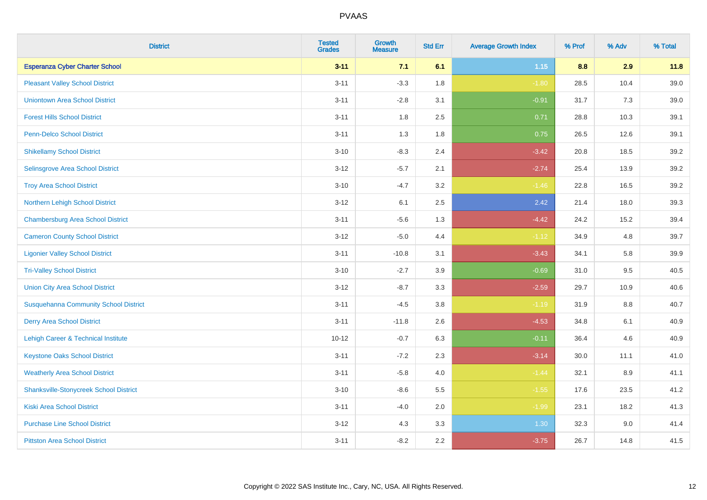| <b>District</b>                               | <b>Tested</b><br><b>Grades</b> | <b>Growth</b><br><b>Measure</b> | <b>Std Err</b> | <b>Average Growth Index</b> | % Prof | % Adv | % Total |
|-----------------------------------------------|--------------------------------|---------------------------------|----------------|-----------------------------|--------|-------|---------|
| <b>Esperanza Cyber Charter School</b>         | $3 - 11$                       | 7.1                             | 6.1            | $1.15$                      | 8.8    | 2.9   | 11.8    |
| <b>Pleasant Valley School District</b>        | $3 - 11$                       | $-3.3$                          | 1.8            | $-1.80$                     | 28.5   | 10.4  | 39.0    |
| <b>Uniontown Area School District</b>         | $3 - 11$                       | $-2.8$                          | 3.1            | $-0.91$                     | 31.7   | 7.3   | 39.0    |
| <b>Forest Hills School District</b>           | $3 - 11$                       | 1.8                             | 2.5            | 0.71                        | 28.8   | 10.3  | 39.1    |
| Penn-Delco School District                    | $3 - 11$                       | 1.3                             | 1.8            | 0.75                        | 26.5   | 12.6  | 39.1    |
| <b>Shikellamy School District</b>             | $3 - 10$                       | $-8.3$                          | 2.4            | $-3.42$                     | 20.8   | 18.5  | 39.2    |
| Selinsgrove Area School District              | $3 - 12$                       | $-5.7$                          | 2.1            | $-2.74$                     | 25.4   | 13.9  | 39.2    |
| <b>Troy Area School District</b>              | $3 - 10$                       | $-4.7$                          | 3.2            | $-1.46$                     | 22.8   | 16.5  | 39.2    |
| Northern Lehigh School District               | $3 - 12$                       | 6.1                             | 2.5            | 2.42                        | 21.4   | 18.0  | 39.3    |
| <b>Chambersburg Area School District</b>      | $3 - 11$                       | $-5.6$                          | 1.3            | $-4.42$                     | 24.2   | 15.2  | 39.4    |
| <b>Cameron County School District</b>         | $3-12$                         | $-5.0$                          | 4.4            | $-1.12$                     | 34.9   | 4.8   | 39.7    |
| <b>Ligonier Valley School District</b>        | $3 - 11$                       | $-10.8$                         | 3.1            | $-3.43$                     | 34.1   | 5.8   | 39.9    |
| <b>Tri-Valley School District</b>             | $3 - 10$                       | $-2.7$                          | 3.9            | $-0.69$                     | 31.0   | 9.5   | 40.5    |
| <b>Union City Area School District</b>        | $3 - 12$                       | $-8.7$                          | 3.3            | $-2.59$                     | 29.7   | 10.9  | 40.6    |
| <b>Susquehanna Community School District</b>  | $3 - 11$                       | $-4.5$                          | 3.8            | $-1.19$                     | 31.9   | 8.8   | 40.7    |
| <b>Derry Area School District</b>             | $3 - 11$                       | $-11.8$                         | 2.6            | $-4.53$                     | 34.8   | 6.1   | 40.9    |
| Lehigh Career & Technical Institute           | $10 - 12$                      | $-0.7$                          | 6.3            | $-0.11$                     | 36.4   | 4.6   | 40.9    |
| <b>Keystone Oaks School District</b>          | $3 - 11$                       | $-7.2$                          | 2.3            | $-3.14$                     | 30.0   | 11.1  | 41.0    |
| <b>Weatherly Area School District</b>         | $3 - 11$                       | $-5.8$                          | 4.0            | $-1.44$                     | 32.1   | 8.9   | 41.1    |
| <b>Shanksville-Stonycreek School District</b> | $3 - 10$                       | $-8.6$                          | 5.5            | $-1.55$                     | 17.6   | 23.5  | 41.2    |
| <b>Kiski Area School District</b>             | $3 - 11$                       | $-4.0$                          | 2.0            | $-1.99$                     | 23.1   | 18.2  | 41.3    |
| <b>Purchase Line School District</b>          | $3 - 12$                       | 4.3                             | 3.3            | 1.30                        | 32.3   | 9.0   | 41.4    |
| <b>Pittston Area School District</b>          | $3 - 11$                       | $-8.2$                          | 2.2            | $-3.75$                     | 26.7   | 14.8  | 41.5    |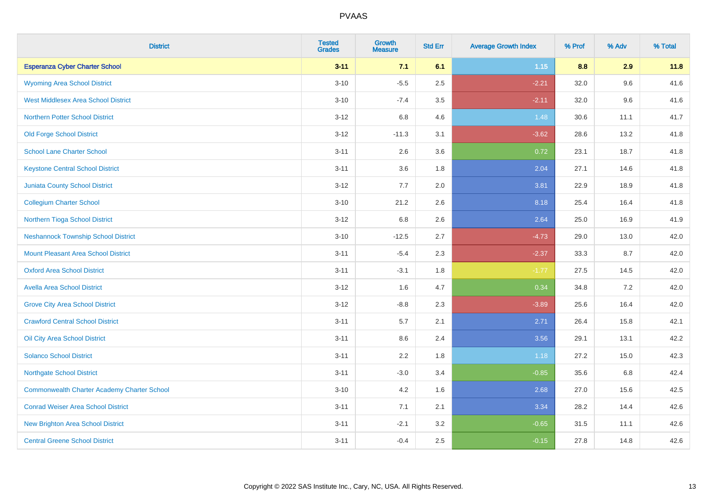| <b>District</b>                                    | <b>Tested</b><br><b>Grades</b> | <b>Growth</b><br><b>Measure</b> | <b>Std Err</b> | <b>Average Growth Index</b> | % Prof | % Adv | % Total |
|----------------------------------------------------|--------------------------------|---------------------------------|----------------|-----------------------------|--------|-------|---------|
| <b>Esperanza Cyber Charter School</b>              | $3 - 11$                       | 7.1                             | 6.1            | $1.15$                      | 8.8    | 2.9   | 11.8    |
| <b>Wyoming Area School District</b>                | $3 - 10$                       | $-5.5$                          | 2.5            | $-2.21$                     | 32.0   | 9.6   | 41.6    |
| <b>West Middlesex Area School District</b>         | $3 - 10$                       | $-7.4$                          | 3.5            | $-2.11$                     | 32.0   | 9.6   | 41.6    |
| <b>Northern Potter School District</b>             | $3 - 12$                       | 6.8                             | 4.6            | 1.48                        | 30.6   | 11.1  | 41.7    |
| <b>Old Forge School District</b>                   | $3 - 12$                       | $-11.3$                         | 3.1            | $-3.62$                     | 28.6   | 13.2  | 41.8    |
| <b>School Lane Charter School</b>                  | $3 - 11$                       | 2.6                             | 3.6            | 0.72                        | 23.1   | 18.7  | 41.8    |
| <b>Keystone Central School District</b>            | $3 - 11$                       | 3.6                             | 1.8            | 2.04                        | 27.1   | 14.6  | 41.8    |
| <b>Juniata County School District</b>              | $3 - 12$                       | 7.7                             | 2.0            | 3.81                        | 22.9   | 18.9  | 41.8    |
| <b>Collegium Charter School</b>                    | $3 - 10$                       | 21.2                            | 2.6            | 8.18                        | 25.4   | 16.4  | 41.8    |
| Northern Tioga School District                     | $3 - 12$                       | 6.8                             | 2.6            | 2.64                        | 25.0   | 16.9  | 41.9    |
| <b>Neshannock Township School District</b>         | $3 - 10$                       | $-12.5$                         | 2.7            | $-4.73$                     | 29.0   | 13.0  | 42.0    |
| <b>Mount Pleasant Area School District</b>         | $3 - 11$                       | $-5.4$                          | 2.3            | $-2.37$                     | 33.3   | 8.7   | 42.0    |
| <b>Oxford Area School District</b>                 | $3 - 11$                       | $-3.1$                          | 1.8            | $-1.77$                     | 27.5   | 14.5  | 42.0    |
| <b>Avella Area School District</b>                 | $3 - 12$                       | 1.6                             | 4.7            | 0.34                        | 34.8   | 7.2   | 42.0    |
| <b>Grove City Area School District</b>             | $3 - 12$                       | $-8.8$                          | 2.3            | $-3.89$                     | 25.6   | 16.4  | 42.0    |
| <b>Crawford Central School District</b>            | $3 - 11$                       | 5.7                             | 2.1            | 2.71                        | 26.4   | 15.8  | 42.1    |
| Oil City Area School District                      | $3 - 11$                       | 8.6                             | 2.4            | 3.56                        | 29.1   | 13.1  | 42.2    |
| <b>Solanco School District</b>                     | $3 - 11$                       | 2.2                             | 1.8            | 1.18                        | 27.2   | 15.0  | 42.3    |
| <b>Northgate School District</b>                   | $3 - 11$                       | $-3.0$                          | 3.4            | $-0.85$                     | 35.6   | 6.8   | 42.4    |
| <b>Commonwealth Charter Academy Charter School</b> | $3 - 10$                       | 4.2                             | 1.6            | 2.68                        | 27.0   | 15.6  | 42.5    |
| <b>Conrad Weiser Area School District</b>          | $3 - 11$                       | 7.1                             | 2.1            | 3.34                        | 28.2   | 14.4  | 42.6    |
| <b>New Brighton Area School District</b>           | $3 - 11$                       | $-2.1$                          | 3.2            | $-0.65$                     | 31.5   | 11.1  | 42.6    |
| <b>Central Greene School District</b>              | $3 - 11$                       | $-0.4$                          | 2.5            | $-0.15$                     | 27.8   | 14.8  | 42.6    |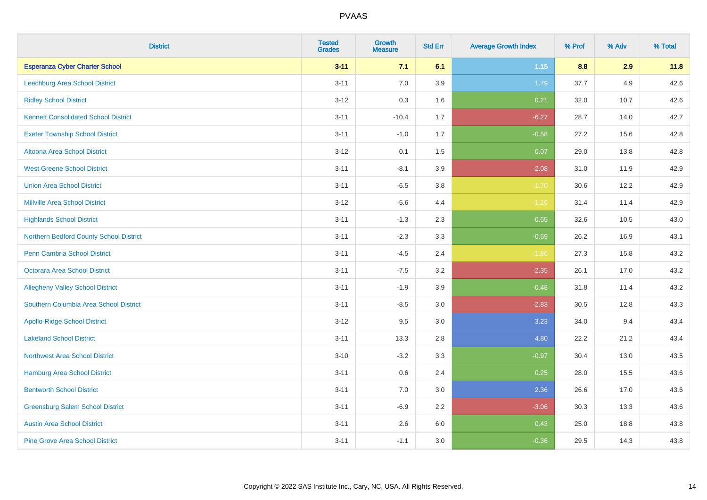| <b>District</b>                             | <b>Tested</b><br><b>Grades</b> | <b>Growth</b><br><b>Measure</b> | <b>Std Err</b> | <b>Average Growth Index</b> | % Prof | % Adv | % Total |
|---------------------------------------------|--------------------------------|---------------------------------|----------------|-----------------------------|--------|-------|---------|
| <b>Esperanza Cyber Charter School</b>       | $3 - 11$                       | 7.1                             | 6.1            | 1.15                        | 8.8    | 2.9   | 11.8    |
| <b>Leechburg Area School District</b>       | $3 - 11$                       | $7.0\,$                         | 3.9            | 1.79                        | 37.7   | 4.9   | 42.6    |
| <b>Ridley School District</b>               | $3 - 12$                       | 0.3                             | 1.6            | 0.21                        | 32.0   | 10.7  | 42.6    |
| <b>Kennett Consolidated School District</b> | $3 - 11$                       | $-10.4$                         | 1.7            | $-6.27$                     | 28.7   | 14.0  | 42.7    |
| <b>Exeter Township School District</b>      | $3 - 11$                       | $-1.0$                          | 1.7            | $-0.58$                     | 27.2   | 15.6  | 42.8    |
| Altoona Area School District                | $3 - 12$                       | 0.1                             | 1.5            | 0.07                        | 29.0   | 13.8  | 42.8    |
| <b>West Greene School District</b>          | $3 - 11$                       | $-8.1$                          | 3.9            | $-2.08$                     | 31.0   | 11.9  | 42.9    |
| <b>Union Area School District</b>           | $3 - 11$                       | $-6.5$                          | 3.8            | $-1.70$                     | 30.6   | 12.2  | 42.9    |
| <b>Millville Area School District</b>       | $3 - 12$                       | $-5.6$                          | 4.4            | $-1.26$                     | 31.4   | 11.4  | 42.9    |
| <b>Highlands School District</b>            | $3 - 11$                       | $-1.3$                          | 2.3            | $-0.55$                     | 32.6   | 10.5  | 43.0    |
| Northern Bedford County School District     | $3 - 11$                       | $-2.3$                          | 3.3            | $-0.69$                     | 26.2   | 16.9  | 43.1    |
| <b>Penn Cambria School District</b>         | $3 - 11$                       | $-4.5$                          | 2.4            | $-1.86$                     | 27.3   | 15.8  | 43.2    |
| Octorara Area School District               | $3 - 11$                       | $-7.5$                          | 3.2            | $-2.35$                     | 26.1   | 17.0  | 43.2    |
| <b>Allegheny Valley School District</b>     | $3 - 11$                       | $-1.9$                          | 3.9            | $-0.48$                     | 31.8   | 11.4  | 43.2    |
| Southern Columbia Area School District      | $3 - 11$                       | $-8.5$                          | 3.0            | $-2.83$                     | 30.5   | 12.8  | 43.3    |
| <b>Apollo-Ridge School District</b>         | $3 - 12$                       | 9.5                             | 3.0            | 3.23                        | 34.0   | 9.4   | 43.4    |
| <b>Lakeland School District</b>             | $3 - 11$                       | 13.3                            | 2.8            | 4.80                        | 22.2   | 21.2  | 43.4    |
| <b>Northwest Area School District</b>       | $3 - 10$                       | $-3.2$                          | 3.3            | $-0.97$                     | 30.4   | 13.0  | 43.5    |
| <b>Hamburg Area School District</b>         | $3 - 11$                       | $0.6\,$                         | 2.4            | 0.25                        | 28.0   | 15.5  | 43.6    |
| <b>Bentworth School District</b>            | $3 - 11$                       | 7.0                             | 3.0            | 2.36                        | 26.6   | 17.0  | 43.6    |
| <b>Greensburg Salem School District</b>     | $3 - 11$                       | $-6.9$                          | 2.2            | $-3.06$                     | 30.3   | 13.3  | 43.6    |
| <b>Austin Area School District</b>          | $3 - 11$                       | 2.6                             | 6.0            | 0.43                        | 25.0   | 18.8  | 43.8    |
| <b>Pine Grove Area School District</b>      | $3 - 11$                       | $-1.1$                          | 3.0            | $-0.36$                     | 29.5   | 14.3  | 43.8    |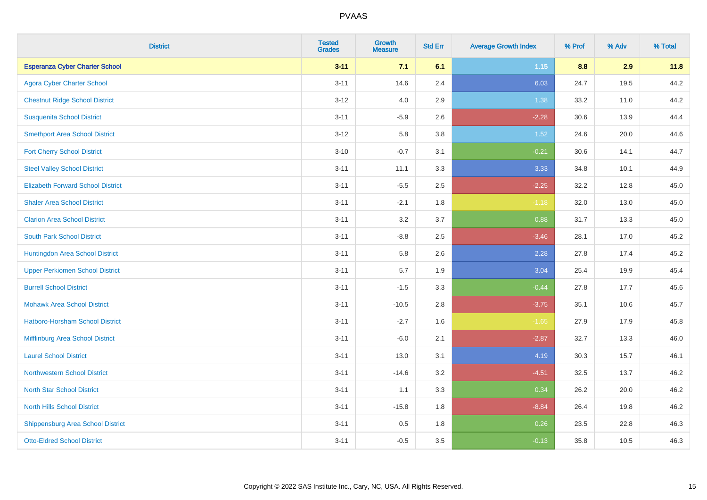| <b>District</b>                          | <b>Tested</b><br><b>Grades</b> | <b>Growth</b><br><b>Measure</b> | <b>Std Err</b> | <b>Average Growth Index</b> | % Prof | % Adv | % Total |
|------------------------------------------|--------------------------------|---------------------------------|----------------|-----------------------------|--------|-------|---------|
| <b>Esperanza Cyber Charter School</b>    | $3 - 11$                       | 7.1                             | 6.1            | 1.15                        | 8.8    | 2.9   | 11.8    |
| <b>Agora Cyber Charter School</b>        | $3 - 11$                       | 14.6                            | 2.4            | 6.03                        | 24.7   | 19.5  | 44.2    |
| <b>Chestnut Ridge School District</b>    | $3 - 12$                       | 4.0                             | 2.9            | 1.38                        | 33.2   | 11.0  | 44.2    |
| <b>Susquenita School District</b>        | $3 - 11$                       | $-5.9$                          | 2.6            | $-2.28$                     | 30.6   | 13.9  | 44.4    |
| <b>Smethport Area School District</b>    | $3 - 12$                       | 5.8                             | 3.8            | 1.52                        | 24.6   | 20.0  | 44.6    |
| <b>Fort Cherry School District</b>       | $3 - 10$                       | $-0.7$                          | 3.1            | $-0.21$                     | 30.6   | 14.1  | 44.7    |
| <b>Steel Valley School District</b>      | $3 - 11$                       | 11.1                            | 3.3            | 3.33                        | 34.8   | 10.1  | 44.9    |
| <b>Elizabeth Forward School District</b> | $3 - 11$                       | $-5.5$                          | 2.5            | $-2.25$                     | 32.2   | 12.8  | 45.0    |
| <b>Shaler Area School District</b>       | $3 - 11$                       | $-2.1$                          | 1.8            | $-1.18$                     | 32.0   | 13.0  | 45.0    |
| <b>Clarion Area School District</b>      | $3 - 11$                       | 3.2                             | 3.7            | 0.88                        | 31.7   | 13.3  | 45.0    |
| <b>South Park School District</b>        | $3 - 11$                       | $-8.8$                          | 2.5            | $-3.46$                     | 28.1   | 17.0  | 45.2    |
| Huntingdon Area School District          | $3 - 11$                       | 5.8                             | 2.6            | 2.28                        | 27.8   | 17.4  | 45.2    |
| <b>Upper Perkiomen School District</b>   | $3 - 11$                       | 5.7                             | 1.9            | 3.04                        | 25.4   | 19.9  | 45.4    |
| <b>Burrell School District</b>           | $3 - 11$                       | $-1.5$                          | 3.3            | $-0.44$                     | 27.8   | 17.7  | 45.6    |
| <b>Mohawk Area School District</b>       | $3 - 11$                       | $-10.5$                         | 2.8            | $-3.75$                     | 35.1   | 10.6  | 45.7    |
| <b>Hatboro-Horsham School District</b>   | $3 - 11$                       | $-2.7$                          | 1.6            | $-1.65$                     | 27.9   | 17.9  | 45.8    |
| Mifflinburg Area School District         | $3 - 11$                       | $-6.0$                          | 2.1            | $-2.87$                     | 32.7   | 13.3  | 46.0    |
| <b>Laurel School District</b>            | $3 - 11$                       | 13.0                            | 3.1            | 4.19                        | 30.3   | 15.7  | 46.1    |
| Northwestern School District             | $3 - 11$                       | $-14.6$                         | 3.2            | $-4.51$                     | 32.5   | 13.7  | 46.2    |
| <b>North Star School District</b>        | $3 - 11$                       | 1.1                             | 3.3            | 0.34                        | 26.2   | 20.0  | 46.2    |
| <b>North Hills School District</b>       | $3 - 11$                       | $-15.8$                         | 1.8            | $-8.84$                     | 26.4   | 19.8  | 46.2    |
| <b>Shippensburg Area School District</b> | $3 - 11$                       | 0.5                             | 1.8            | 0.26                        | 23.5   | 22.8  | 46.3    |
| <b>Otto-Eldred School District</b>       | $3 - 11$                       | $-0.5$                          | 3.5            | $-0.13$                     | 35.8   | 10.5  | 46.3    |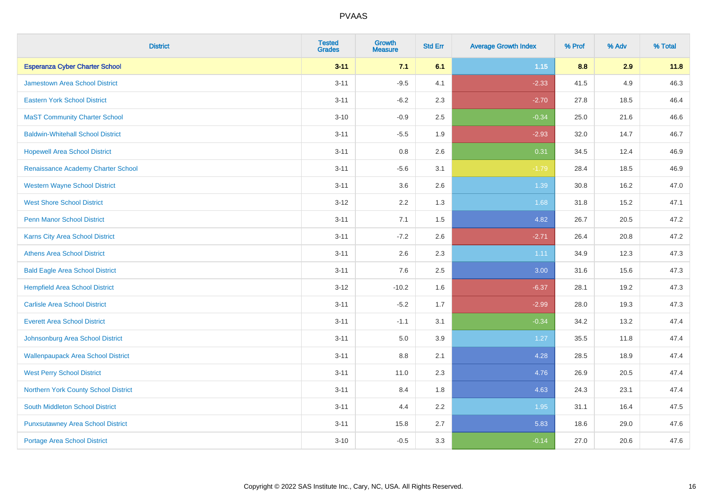| <b>District</b>                           | <b>Tested</b><br><b>Grades</b> | Growth<br><b>Measure</b> | <b>Std Err</b> | <b>Average Growth Index</b> | % Prof | % Adv | % Total |
|-------------------------------------------|--------------------------------|--------------------------|----------------|-----------------------------|--------|-------|---------|
| <b>Esperanza Cyber Charter School</b>     | $3 - 11$                       | 7.1                      | 6.1            | 1.15                        | 8.8    | 2.9   | 11.8    |
| Jamestown Area School District            | $3 - 11$                       | $-9.5$                   | 4.1            | $-2.33$                     | 41.5   | 4.9   | 46.3    |
| <b>Eastern York School District</b>       | $3 - 11$                       | $-6.2$                   | 2.3            | $-2.70$                     | 27.8   | 18.5  | 46.4    |
| <b>MaST Community Charter School</b>      | $3 - 10$                       | $-0.9$                   | 2.5            | $-0.34$                     | 25.0   | 21.6  | 46.6    |
| <b>Baldwin-Whitehall School District</b>  | $3 - 11$                       | $-5.5$                   | 1.9            | $-2.93$                     | 32.0   | 14.7  | 46.7    |
| <b>Hopewell Area School District</b>      | $3 - 11$                       | 0.8                      | 2.6            | 0.31                        | 34.5   | 12.4  | 46.9    |
| Renaissance Academy Charter School        | $3 - 11$                       | $-5.6$                   | 3.1            | $-1.79$                     | 28.4   | 18.5  | 46.9    |
| <b>Western Wayne School District</b>      | $3 - 11$                       | 3.6                      | 2.6            | 1.39                        | 30.8   | 16.2  | 47.0    |
| <b>West Shore School District</b>         | $3 - 12$                       | 2.2                      | 1.3            | 1.68                        | 31.8   | 15.2  | 47.1    |
| <b>Penn Manor School District</b>         | $3 - 11$                       | 7.1                      | 1.5            | 4.82                        | 26.7   | 20.5  | 47.2    |
| <b>Karns City Area School District</b>    | $3 - 11$                       | $-7.2$                   | 2.6            | $-2.71$                     | 26.4   | 20.8  | 47.2    |
| <b>Athens Area School District</b>        | $3 - 11$                       | 2.6                      | 2.3            | 1.11                        | 34.9   | 12.3  | 47.3    |
| <b>Bald Eagle Area School District</b>    | $3 - 11$                       | 7.6                      | 2.5            | 3.00                        | 31.6   | 15.6  | 47.3    |
| <b>Hempfield Area School District</b>     | $3 - 12$                       | $-10.2$                  | 1.6            | $-6.37$                     | 28.1   | 19.2  | 47.3    |
| <b>Carlisle Area School District</b>      | $3 - 11$                       | $-5.2$                   | 1.7            | $-2.99$                     | 28.0   | 19.3  | 47.3    |
| <b>Everett Area School District</b>       | $3 - 11$                       | $-1.1$                   | 3.1            | $-0.34$                     | 34.2   | 13.2  | 47.4    |
| Johnsonburg Area School District          | $3 - 11$                       | 5.0                      | 3.9            | 1.27                        | 35.5   | 11.8  | 47.4    |
| <b>Wallenpaupack Area School District</b> | $3 - 11$                       | 8.8                      | 2.1            | 4.28                        | 28.5   | 18.9  | 47.4    |
| <b>West Perry School District</b>         | $3 - 11$                       | 11.0                     | 2.3            | 4.76                        | 26.9   | 20.5  | 47.4    |
| Northern York County School District      | $3 - 11$                       | 8.4                      | 1.8            | 4.63                        | 24.3   | 23.1  | 47.4    |
| <b>South Middleton School District</b>    | $3 - 11$                       | 4.4                      | 2.2            | 1.95                        | 31.1   | 16.4  | 47.5    |
| <b>Punxsutawney Area School District</b>  | $3 - 11$                       | 15.8                     | 2.7            | 5.83                        | 18.6   | 29.0  | 47.6    |
| <b>Portage Area School District</b>       | $3 - 10$                       | $-0.5$                   | 3.3            | $-0.14$                     | 27.0   | 20.6  | 47.6    |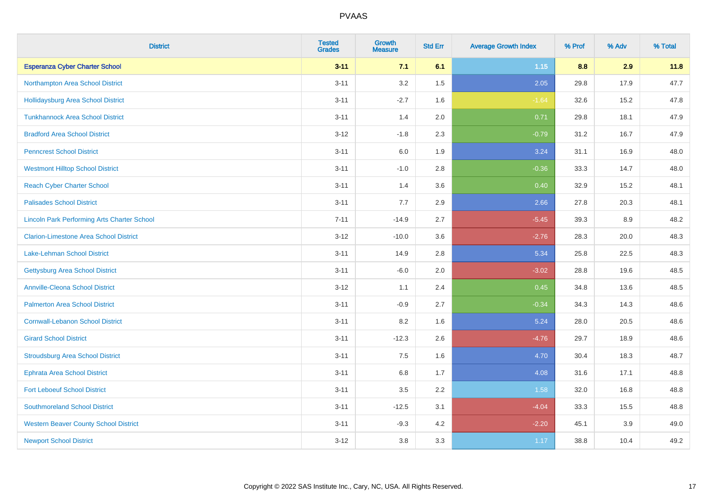| <b>District</b>                                    | <b>Tested</b><br><b>Grades</b> | <b>Growth</b><br><b>Measure</b> | <b>Std Err</b> | <b>Average Growth Index</b> | % Prof | % Adv | % Total |
|----------------------------------------------------|--------------------------------|---------------------------------|----------------|-----------------------------|--------|-------|---------|
| <b>Esperanza Cyber Charter School</b>              | $3 - 11$                       | 7.1                             | 6.1            | 1.15                        | 8.8    | 2.9   | 11.8    |
| Northampton Area School District                   | $3 - 11$                       | 3.2                             | 1.5            | 2.05                        | 29.8   | 17.9  | 47.7    |
| <b>Hollidaysburg Area School District</b>          | $3 - 11$                       | $-2.7$                          | 1.6            | $-1.64$                     | 32.6   | 15.2  | 47.8    |
| <b>Tunkhannock Area School District</b>            | $3 - 11$                       | 1.4                             | 2.0            | 0.71                        | 29.8   | 18.1  | 47.9    |
| <b>Bradford Area School District</b>               | $3 - 12$                       | $-1.8$                          | 2.3            | $-0.79$                     | 31.2   | 16.7  | 47.9    |
| <b>Penncrest School District</b>                   | $3 - 11$                       | 6.0                             | 1.9            | 3.24                        | 31.1   | 16.9  | 48.0    |
| <b>Westmont Hilltop School District</b>            | $3 - 11$                       | $-1.0$                          | 2.8            | $-0.36$                     | 33.3   | 14.7  | 48.0    |
| <b>Reach Cyber Charter School</b>                  | $3 - 11$                       | 1.4                             | 3.6            | 0.40                        | 32.9   | 15.2  | 48.1    |
| <b>Palisades School District</b>                   | $3 - 11$                       | 7.7                             | 2.9            | 2.66                        | 27.8   | 20.3  | 48.1    |
| <b>Lincoln Park Performing Arts Charter School</b> | $7 - 11$                       | $-14.9$                         | 2.7            | $-5.45$                     | 39.3   | 8.9   | 48.2    |
| <b>Clarion-Limestone Area School District</b>      | $3 - 12$                       | $-10.0$                         | 3.6            | $-2.76$                     | 28.3   | 20.0  | 48.3    |
| <b>Lake-Lehman School District</b>                 | $3 - 11$                       | 14.9                            | 2.8            | 5.34                        | 25.8   | 22.5  | 48.3    |
| <b>Gettysburg Area School District</b>             | $3 - 11$                       | $-6.0$                          | 2.0            | $-3.02$                     | 28.8   | 19.6  | 48.5    |
| <b>Annville-Cleona School District</b>             | $3 - 12$                       | 1.1                             | 2.4            | 0.45                        | 34.8   | 13.6  | 48.5    |
| <b>Palmerton Area School District</b>              | $3 - 11$                       | $-0.9$                          | 2.7            | $-0.34$                     | 34.3   | 14.3  | 48.6    |
| <b>Cornwall-Lebanon School District</b>            | $3 - 11$                       | 8.2                             | 1.6            | 5.24                        | 28.0   | 20.5  | 48.6    |
| <b>Girard School District</b>                      | $3 - 11$                       | $-12.3$                         | 2.6            | $-4.76$                     | 29.7   | 18.9  | 48.6    |
| <b>Stroudsburg Area School District</b>            | $3 - 11$                       | 7.5                             | 1.6            | 4.70                        | 30.4   | 18.3  | 48.7    |
| <b>Ephrata Area School District</b>                | $3 - 11$                       | $6.8\,$                         | 1.7            | 4.08                        | 31.6   | 17.1  | 48.8    |
| <b>Fort Leboeuf School District</b>                | $3 - 11$                       | 3.5                             | 2.2            | 1.58                        | 32.0   | 16.8  | 48.8    |
| <b>Southmoreland School District</b>               | $3 - 11$                       | $-12.5$                         | 3.1            | $-4.04$                     | 33.3   | 15.5  | 48.8    |
| <b>Western Beaver County School District</b>       | $3 - 11$                       | $-9.3$                          | 4.2            | $-2.20$                     | 45.1   | 3.9   | 49.0    |
| <b>Newport School District</b>                     | $3 - 12$                       | 3.8                             | 3.3            | 1.17                        | 38.8   | 10.4  | 49.2    |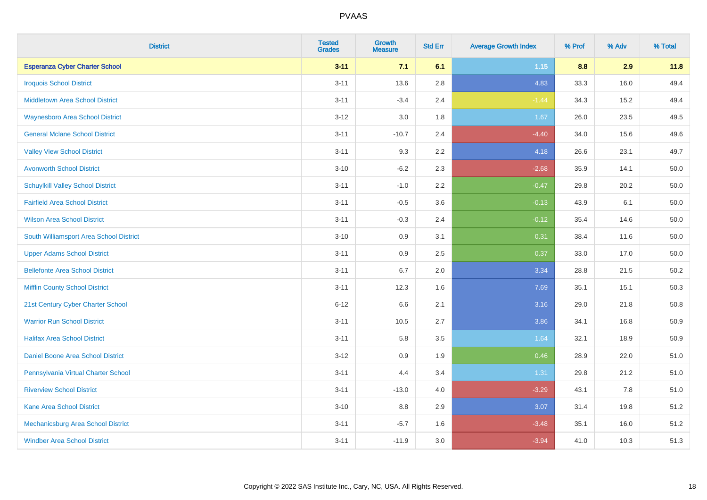| <b>District</b>                           | <b>Tested</b><br><b>Grades</b> | <b>Growth</b><br><b>Measure</b> | <b>Std Err</b> | <b>Average Growth Index</b> | % Prof | % Adv | % Total  |
|-------------------------------------------|--------------------------------|---------------------------------|----------------|-----------------------------|--------|-------|----------|
| <b>Esperanza Cyber Charter School</b>     | $3 - 11$                       | 7.1                             | 6.1            | 1.15                        | 8.8    | 2.9   | 11.8     |
| <b>Iroquois School District</b>           | $3 - 11$                       | 13.6                            | 2.8            | 4.83                        | 33.3   | 16.0  | 49.4     |
| <b>Middletown Area School District</b>    | $3 - 11$                       | $-3.4$                          | 2.4            | $-1.44$                     | 34.3   | 15.2  | 49.4     |
| <b>Waynesboro Area School District</b>    | $3 - 12$                       | 3.0                             | 1.8            | 1.67                        | 26.0   | 23.5  | 49.5     |
| <b>General Mclane School District</b>     | $3 - 11$                       | $-10.7$                         | 2.4            | $-4.40$                     | 34.0   | 15.6  | 49.6     |
| <b>Valley View School District</b>        | $3 - 11$                       | 9.3                             | 2.2            | 4.18                        | 26.6   | 23.1  | 49.7     |
| <b>Avonworth School District</b>          | $3 - 10$                       | $-6.2$                          | 2.3            | $-2.68$                     | 35.9   | 14.1  | 50.0     |
| <b>Schuylkill Valley School District</b>  | $3 - 11$                       | $-1.0$                          | 2.2            | $-0.47$                     | 29.8   | 20.2  | 50.0     |
| <b>Fairfield Area School District</b>     | $3 - 11$                       | $-0.5$                          | 3.6            | $-0.13$                     | 43.9   | 6.1   | $50.0\,$ |
| <b>Wilson Area School District</b>        | $3 - 11$                       | $-0.3$                          | 2.4            | $-0.12$                     | 35.4   | 14.6  | 50.0     |
| South Williamsport Area School District   | $3 - 10$                       | 0.9                             | 3.1            | 0.31                        | 38.4   | 11.6  | 50.0     |
| <b>Upper Adams School District</b>        | $3 - 11$                       | 0.9                             | 2.5            | 0.37                        | 33.0   | 17.0  | 50.0     |
| <b>Bellefonte Area School District</b>    | $3 - 11$                       | 6.7                             | 2.0            | 3.34                        | 28.8   | 21.5  | 50.2     |
| <b>Mifflin County School District</b>     | $3 - 11$                       | 12.3                            | 1.6            | 7.69                        | 35.1   | 15.1  | 50.3     |
| 21st Century Cyber Charter School         | $6 - 12$                       | 6.6                             | 2.1            | 3.16                        | 29.0   | 21.8  | 50.8     |
| <b>Warrior Run School District</b>        | $3 - 11$                       | 10.5                            | 2.7            | 3.86                        | 34.1   | 16.8  | 50.9     |
| <b>Halifax Area School District</b>       | $3 - 11$                       | 5.8                             | 3.5            | 1.64                        | 32.1   | 18.9  | 50.9     |
| Daniel Boone Area School District         | $3 - 12$                       | 0.9                             | 1.9            | 0.46                        | 28.9   | 22.0  | 51.0     |
| Pennsylvania Virtual Charter School       | $3 - 11$                       | 4.4                             | 3.4            | 1.31                        | 29.8   | 21.2  | 51.0     |
| <b>Riverview School District</b>          | $3 - 11$                       | $-13.0$                         | 4.0            | $-3.29$                     | 43.1   | 7.8   | 51.0     |
| <b>Kane Area School District</b>          | $3 - 10$                       | 8.8                             | 2.9            | 3.07                        | 31.4   | 19.8  | 51.2     |
| <b>Mechanicsburg Area School District</b> | $3 - 11$                       | $-5.7$                          | 1.6            | $-3.48$                     | 35.1   | 16.0  | 51.2     |
| <b>Windber Area School District</b>       | $3 - 11$                       | $-11.9$                         | 3.0            | $-3.94$                     | 41.0   | 10.3  | 51.3     |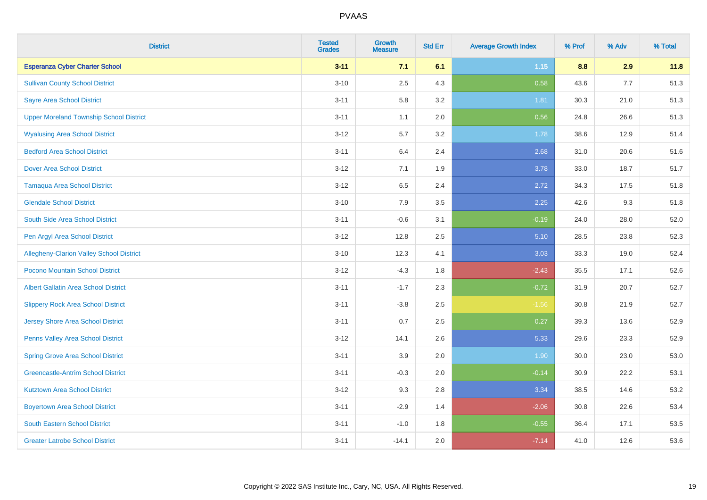| <b>District</b>                                 | <b>Tested</b><br><b>Grades</b> | <b>Growth</b><br><b>Measure</b> | <b>Std Err</b> | <b>Average Growth Index</b> | % Prof | % Adv | % Total |
|-------------------------------------------------|--------------------------------|---------------------------------|----------------|-----------------------------|--------|-------|---------|
| <b>Esperanza Cyber Charter School</b>           | $3 - 11$                       | 7.1                             | 6.1            | 1.15                        | 8.8    | 2.9   | 11.8    |
| <b>Sullivan County School District</b>          | $3 - 10$                       | 2.5                             | 4.3            | 0.58                        | 43.6   | 7.7   | 51.3    |
| <b>Sayre Area School District</b>               | $3 - 11$                       | 5.8                             | 3.2            | 1.81                        | 30.3   | 21.0  | 51.3    |
| <b>Upper Moreland Township School District</b>  | $3 - 11$                       | 1.1                             | 2.0            | 0.56                        | 24.8   | 26.6  | 51.3    |
| <b>Wyalusing Area School District</b>           | $3 - 12$                       | 5.7                             | 3.2            | 1.78                        | 38.6   | 12.9  | 51.4    |
| <b>Bedford Area School District</b>             | $3 - 11$                       | 6.4                             | 2.4            | 2.68                        | 31.0   | 20.6  | 51.6    |
| <b>Dover Area School District</b>               | $3 - 12$                       | 7.1                             | 1.9            | 3.78                        | 33.0   | 18.7  | 51.7    |
| <b>Tamaqua Area School District</b>             | $3 - 12$                       | 6.5                             | 2.4            | 2.72                        | 34.3   | 17.5  | 51.8    |
| <b>Glendale School District</b>                 | $3 - 10$                       | 7.9                             | 3.5            | 2.25                        | 42.6   | 9.3   | 51.8    |
| South Side Area School District                 | $3 - 11$                       | $-0.6$                          | 3.1            | $-0.19$                     | 24.0   | 28.0  | 52.0    |
| Pen Argyl Area School District                  | $3 - 12$                       | 12.8                            | 2.5            | 5.10                        | 28.5   | 23.8  | 52.3    |
| <b>Allegheny-Clarion Valley School District</b> | $3 - 10$                       | 12.3                            | 4.1            | 3.03                        | 33.3   | 19.0  | 52.4    |
| Pocono Mountain School District                 | $3-12$                         | $-4.3$                          | 1.8            | $-2.43$                     | 35.5   | 17.1  | 52.6    |
| <b>Albert Gallatin Area School District</b>     | $3 - 11$                       | $-1.7$                          | 2.3            | $-0.72$                     | 31.9   | 20.7  | 52.7    |
| <b>Slippery Rock Area School District</b>       | $3 - 11$                       | $-3.8$                          | 2.5            | $-1.56$                     | 30.8   | 21.9  | 52.7    |
| Jersey Shore Area School District               | $3 - 11$                       | 0.7                             | 2.5            | 0.27                        | 39.3   | 13.6  | 52.9    |
| Penns Valley Area School District               | $3-12$                         | 14.1                            | 2.6            | 5.33                        | 29.6   | 23.3  | 52.9    |
| <b>Spring Grove Area School District</b>        | $3 - 11$                       | 3.9                             | 2.0            | 1.90                        | 30.0   | 23.0  | 53.0    |
| <b>Greencastle-Antrim School District</b>       | $3 - 11$                       | $-0.3$                          | 2.0            | $-0.14$                     | 30.9   | 22.2  | 53.1    |
| <b>Kutztown Area School District</b>            | $3 - 12$                       | 9.3                             | 2.8            | 3.34                        | 38.5   | 14.6  | 53.2    |
| <b>Boyertown Area School District</b>           | $3 - 11$                       | $-2.9$                          | 1.4            | $-2.06$                     | 30.8   | 22.6  | 53.4    |
| <b>South Eastern School District</b>            | $3 - 11$                       | $-1.0$                          | 1.8            | $-0.55$                     | 36.4   | 17.1  | 53.5    |
| <b>Greater Latrobe School District</b>          | $3 - 11$                       | $-14.1$                         | 2.0            | $-7.14$                     | 41.0   | 12.6  | 53.6    |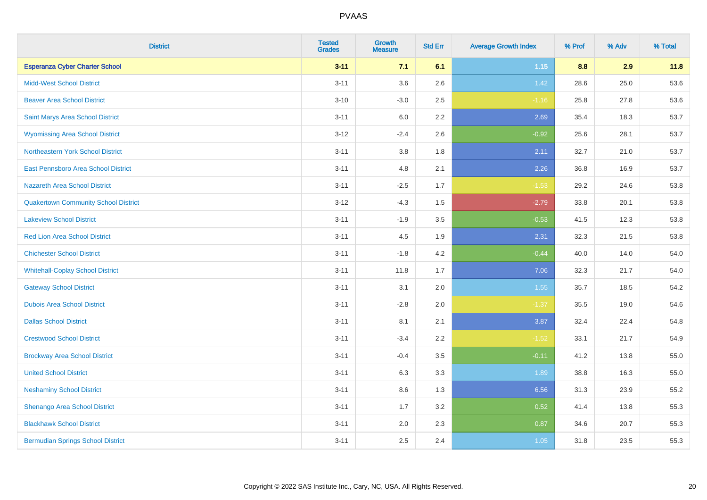| <b>District</b>                             | <b>Tested</b><br><b>Grades</b> | <b>Growth</b><br><b>Measure</b> | <b>Std Err</b> | <b>Average Growth Index</b> | % Prof | % Adv | % Total |
|---------------------------------------------|--------------------------------|---------------------------------|----------------|-----------------------------|--------|-------|---------|
| <b>Esperanza Cyber Charter School</b>       | $3 - 11$                       | 7.1                             | 6.1            | $1.15$                      | 8.8    | 2.9   | 11.8    |
| <b>Midd-West School District</b>            | $3 - 11$                       | 3.6                             | 2.6            | 1.42                        | 28.6   | 25.0  | 53.6    |
| <b>Beaver Area School District</b>          | $3 - 10$                       | $-3.0$                          | 2.5            | $-1.16$                     | 25.8   | 27.8  | 53.6    |
| Saint Marys Area School District            | $3 - 11$                       | 6.0                             | 2.2            | 2.69                        | 35.4   | 18.3  | 53.7    |
| <b>Wyomissing Area School District</b>      | $3 - 12$                       | $-2.4$                          | 2.6            | $-0.92$                     | 25.6   | 28.1  | 53.7    |
| <b>Northeastern York School District</b>    | $3 - 11$                       | 3.8                             | 1.8            | 2.11                        | 32.7   | 21.0  | 53.7    |
| East Pennsboro Area School District         | $3 - 11$                       | 4.8                             | 2.1            | 2.26                        | 36.8   | 16.9  | 53.7    |
| <b>Nazareth Area School District</b>        | $3 - 11$                       | $-2.5$                          | 1.7            | $-1.53$                     | 29.2   | 24.6  | 53.8    |
| <b>Quakertown Community School District</b> | $3 - 12$                       | $-4.3$                          | 1.5            | $-2.79$                     | 33.8   | 20.1  | 53.8    |
| <b>Lakeview School District</b>             | $3 - 11$                       | $-1.9$                          | 3.5            | $-0.53$                     | 41.5   | 12.3  | 53.8    |
| <b>Red Lion Area School District</b>        | $3 - 11$                       | 4.5                             | 1.9            | 2.31                        | 32.3   | 21.5  | 53.8    |
| <b>Chichester School District</b>           | $3 - 11$                       | $-1.8$                          | 4.2            | $-0.44$                     | 40.0   | 14.0  | 54.0    |
| <b>Whitehall-Coplay School District</b>     | $3 - 11$                       | 11.8                            | 1.7            | 7.06                        | 32.3   | 21.7  | 54.0    |
| <b>Gateway School District</b>              | $3 - 11$                       | 3.1                             | 2.0            | 1.55                        | 35.7   | 18.5  | 54.2    |
| <b>Dubois Area School District</b>          | $3 - 11$                       | $-2.8$                          | 2.0            | $-1.37$                     | 35.5   | 19.0  | 54.6    |
| <b>Dallas School District</b>               | $3 - 11$                       | 8.1                             | 2.1            | 3.87                        | 32.4   | 22.4  | 54.8    |
| <b>Crestwood School District</b>            | $3 - 11$                       | $-3.4$                          | 2.2            | $-1.52$                     | 33.1   | 21.7  | 54.9    |
| <b>Brockway Area School District</b>        | $3 - 11$                       | $-0.4$                          | 3.5            | $-0.11$                     | 41.2   | 13.8  | 55.0    |
| <b>United School District</b>               | $3 - 11$                       | 6.3                             | 3.3            | 1.89                        | 38.8   | 16.3  | 55.0    |
| <b>Neshaminy School District</b>            | $3 - 11$                       | $8.6\,$                         | 1.3            | 6.56                        | 31.3   | 23.9  | 55.2    |
| Shenango Area School District               | $3 - 11$                       | 1.7                             | 3.2            | 0.52                        | 41.4   | 13.8  | 55.3    |
| <b>Blackhawk School District</b>            | $3 - 11$                       | 2.0                             | 2.3            | 0.87                        | 34.6   | 20.7  | 55.3    |
| <b>Bermudian Springs School District</b>    | $3 - 11$                       | 2.5                             | 2.4            | 1.05                        | 31.8   | 23.5  | 55.3    |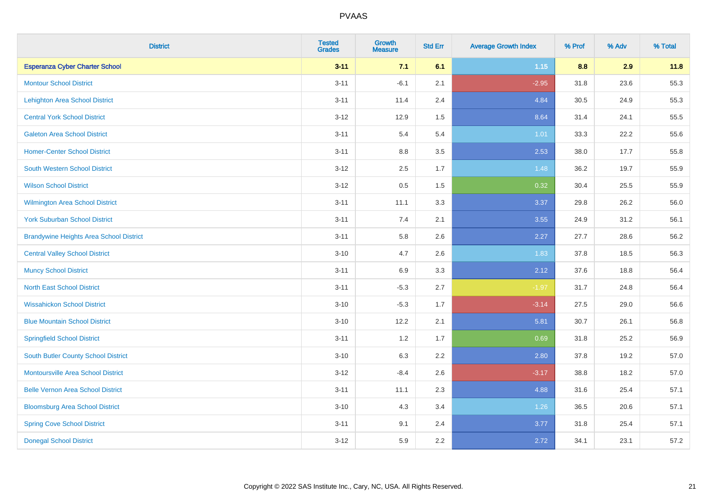| <b>District</b>                                | <b>Tested</b><br><b>Grades</b> | <b>Growth</b><br><b>Measure</b> | <b>Std Err</b> | <b>Average Growth Index</b> | % Prof | % Adv | % Total |
|------------------------------------------------|--------------------------------|---------------------------------|----------------|-----------------------------|--------|-------|---------|
| <b>Esperanza Cyber Charter School</b>          | $3 - 11$                       | 7.1                             | 6.1            | $1.15$                      | 8.8    | 2.9   | 11.8    |
| <b>Montour School District</b>                 | $3 - 11$                       | $-6.1$                          | 2.1            | $-2.95$                     | 31.8   | 23.6  | 55.3    |
| <b>Lehighton Area School District</b>          | $3 - 11$                       | 11.4                            | 2.4            | 4.84                        | 30.5   | 24.9  | 55.3    |
| <b>Central York School District</b>            | $3 - 12$                       | 12.9                            | 1.5            | 8.64                        | 31.4   | 24.1  | 55.5    |
| <b>Galeton Area School District</b>            | $3 - 11$                       | 5.4                             | 5.4            | 1.01                        | 33.3   | 22.2  | 55.6    |
| <b>Homer-Center School District</b>            | $3 - 11$                       | 8.8                             | 3.5            | 2.53                        | 38.0   | 17.7  | 55.8    |
| <b>South Western School District</b>           | $3 - 12$                       | 2.5                             | 1.7            | 1.48                        | 36.2   | 19.7  | 55.9    |
| <b>Wilson School District</b>                  | $3 - 12$                       | $0.5\,$                         | 1.5            | 0.32                        | 30.4   | 25.5  | 55.9    |
| <b>Wilmington Area School District</b>         | $3 - 11$                       | 11.1                            | 3.3            | 3.37                        | 29.8   | 26.2  | 56.0    |
| <b>York Suburban School District</b>           | $3 - 11$                       | 7.4                             | 2.1            | 3.55                        | 24.9   | 31.2  | 56.1    |
| <b>Brandywine Heights Area School District</b> | $3 - 11$                       | 5.8                             | 2.6            | 2.27                        | 27.7   | 28.6  | 56.2    |
| <b>Central Valley School District</b>          | $3 - 10$                       | 4.7                             | 2.6            | 1.83                        | 37.8   | 18.5  | 56.3    |
| <b>Muncy School District</b>                   | $3 - 11$                       | 6.9                             | 3.3            | 2.12                        | 37.6   | 18.8  | 56.4    |
| <b>North East School District</b>              | $3 - 11$                       | $-5.3$                          | 2.7            | $-1.97$                     | 31.7   | 24.8  | 56.4    |
| <b>Wissahickon School District</b>             | $3 - 10$                       | $-5.3$                          | 1.7            | $-3.14$                     | 27.5   | 29.0  | 56.6    |
| <b>Blue Mountain School District</b>           | $3 - 10$                       | 12.2                            | 2.1            | 5.81                        | 30.7   | 26.1  | 56.8    |
| <b>Springfield School District</b>             | $3 - 11$                       | 1.2                             | 1.7            | 0.69                        | 31.8   | 25.2  | 56.9    |
| <b>South Butler County School District</b>     | $3 - 10$                       | 6.3                             | 2.2            | 2.80                        | 37.8   | 19.2  | 57.0    |
| <b>Montoursville Area School District</b>      | $3 - 12$                       | $-8.4$                          | 2.6            | $-3.17$                     | 38.8   | 18.2  | 57.0    |
| <b>Belle Vernon Area School District</b>       | $3 - 11$                       | 11.1                            | 2.3            | 4.88                        | 31.6   | 25.4  | 57.1    |
| <b>Bloomsburg Area School District</b>         | $3 - 10$                       | 4.3                             | 3.4            | 1.26                        | 36.5   | 20.6  | 57.1    |
| <b>Spring Cove School District</b>             | $3 - 11$                       | 9.1                             | 2.4            | 3.77                        | 31.8   | 25.4  | 57.1    |
| <b>Donegal School District</b>                 | $3 - 12$                       | 5.9                             | 2.2            | 2.72                        | 34.1   | 23.1  | 57.2    |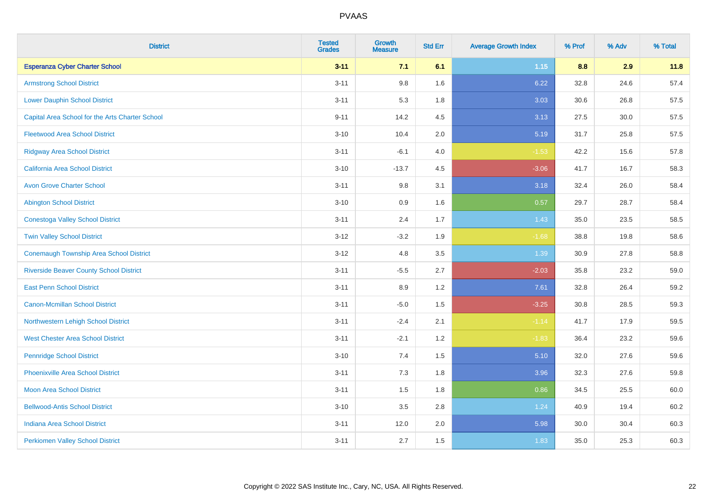| <b>District</b>                                 | <b>Tested</b><br><b>Grades</b> | <b>Growth</b><br><b>Measure</b> | <b>Std Err</b> | <b>Average Growth Index</b> | % Prof | % Adv | % Total |
|-------------------------------------------------|--------------------------------|---------------------------------|----------------|-----------------------------|--------|-------|---------|
| <b>Esperanza Cyber Charter School</b>           | $3 - 11$                       | 7.1                             | 6.1            | $1.15$                      | 8.8    | 2.9   | 11.8    |
| <b>Armstrong School District</b>                | $3 - 11$                       | 9.8                             | 1.6            | 6.22                        | 32.8   | 24.6  | 57.4    |
| <b>Lower Dauphin School District</b>            | $3 - 11$                       | 5.3                             | 1.8            | 3.03                        | 30.6   | 26.8  | 57.5    |
| Capital Area School for the Arts Charter School | $9 - 11$                       | 14.2                            | 4.5            | 3.13                        | 27.5   | 30.0  | 57.5    |
| <b>Fleetwood Area School District</b>           | $3 - 10$                       | 10.4                            | 2.0            | 5.19                        | 31.7   | 25.8  | 57.5    |
| <b>Ridgway Area School District</b>             | $3 - 11$                       | $-6.1$                          | 4.0            | $-1.53$                     | 42.2   | 15.6  | 57.8    |
| California Area School District                 | $3 - 10$                       | $-13.7$                         | 4.5            | $-3.06$                     | 41.7   | 16.7  | 58.3    |
| <b>Avon Grove Charter School</b>                | $3 - 11$                       | $9.8\,$                         | 3.1            | 3.18                        | 32.4   | 26.0  | 58.4    |
| <b>Abington School District</b>                 | $3 - 10$                       | 0.9                             | 1.6            | 0.57                        | 29.7   | 28.7  | 58.4    |
| <b>Conestoga Valley School District</b>         | $3 - 11$                       | 2.4                             | 1.7            | 1.43                        | 35.0   | 23.5  | 58.5    |
| <b>Twin Valley School District</b>              | $3 - 12$                       | $-3.2$                          | 1.9            | $-1.68$                     | 38.8   | 19.8  | 58.6    |
| <b>Conemaugh Township Area School District</b>  | $3 - 12$                       | 4.8                             | 3.5            | 1.39                        | 30.9   | 27.8  | 58.8    |
| <b>Riverside Beaver County School District</b>  | $3 - 11$                       | $-5.5$                          | 2.7            | $-2.03$                     | 35.8   | 23.2  | 59.0    |
| <b>East Penn School District</b>                | $3 - 11$                       | 8.9                             | 1.2            | 7.61                        | 32.8   | 26.4  | 59.2    |
| <b>Canon-Mcmillan School District</b>           | $3 - 11$                       | $-5.0$                          | 1.5            | $-3.25$                     | 30.8   | 28.5  | 59.3    |
| Northwestern Lehigh School District             | $3 - 11$                       | $-2.4$                          | 2.1            | $-1.14$                     | 41.7   | 17.9  | 59.5    |
| <b>West Chester Area School District</b>        | $3 - 11$                       | $-2.1$                          | 1.2            | $-1.83$                     | 36.4   | 23.2  | 59.6    |
| <b>Pennridge School District</b>                | $3 - 10$                       | 7.4                             | 1.5            | 5.10                        | 32.0   | 27.6  | 59.6    |
| <b>Phoenixville Area School District</b>        | $3 - 11$                       | 7.3                             | 1.8            | 3.96                        | 32.3   | 27.6  | 59.8    |
| <b>Moon Area School District</b>                | $3 - 11$                       | 1.5                             | 1.8            | 0.86                        | 34.5   | 25.5  | 60.0    |
| <b>Bellwood-Antis School District</b>           | $3 - 10$                       | $3.5\,$                         | 2.8            | 1.24                        | 40.9   | 19.4  | 60.2    |
| <b>Indiana Area School District</b>             | $3 - 11$                       | 12.0                            | 2.0            | 5.98                        | 30.0   | 30.4  | 60.3    |
| <b>Perkiomen Valley School District</b>         | $3 - 11$                       | 2.7                             | 1.5            | 1.83                        | 35.0   | 25.3  | 60.3    |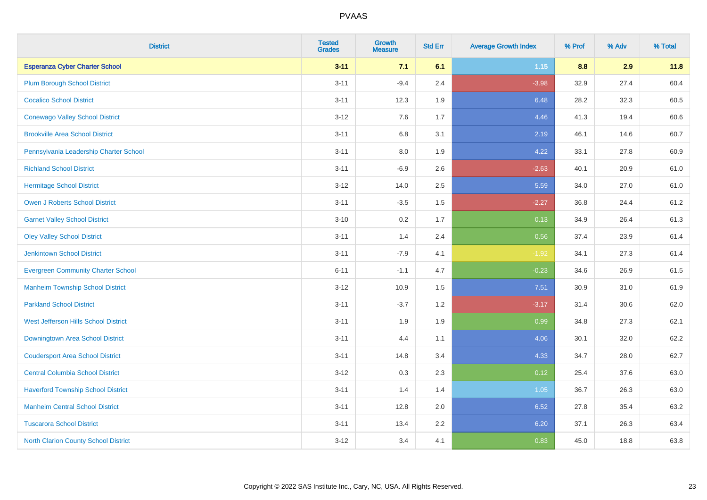| <b>District</b>                             | <b>Tested</b><br><b>Grades</b> | <b>Growth</b><br><b>Measure</b> | <b>Std Err</b> | <b>Average Growth Index</b> | % Prof | % Adv | % Total |
|---------------------------------------------|--------------------------------|---------------------------------|----------------|-----------------------------|--------|-------|---------|
| <b>Esperanza Cyber Charter School</b>       | $3 - 11$                       | 7.1                             | 6.1            | 1.15                        | 8.8    | 2.9   | 11.8    |
| <b>Plum Borough School District</b>         | $3 - 11$                       | $-9.4$                          | 2.4            | $-3.98$                     | 32.9   | 27.4  | 60.4    |
| <b>Cocalico School District</b>             | $3 - 11$                       | 12.3                            | 1.9            | 6.48                        | 28.2   | 32.3  | 60.5    |
| <b>Conewago Valley School District</b>      | $3 - 12$                       | 7.6                             | 1.7            | 4.46                        | 41.3   | 19.4  | 60.6    |
| <b>Brookville Area School District</b>      | $3 - 11$                       | 6.8                             | 3.1            | 2.19                        | 46.1   | 14.6  | 60.7    |
| Pennsylvania Leadership Charter School      | $3 - 11$                       | 8.0                             | 1.9            | 4.22                        | 33.1   | 27.8  | 60.9    |
| <b>Richland School District</b>             | $3 - 11$                       | $-6.9$                          | 2.6            | $-2.63$                     | 40.1   | 20.9  | 61.0    |
| <b>Hermitage School District</b>            | $3 - 12$                       | 14.0                            | 2.5            | 5.59                        | 34.0   | 27.0  | 61.0    |
| <b>Owen J Roberts School District</b>       | $3 - 11$                       | $-3.5$                          | 1.5            | $-2.27$                     | 36.8   | 24.4  | 61.2    |
| <b>Garnet Valley School District</b>        | $3 - 10$                       | 0.2                             | 1.7            | 0.13                        | 34.9   | 26.4  | 61.3    |
| <b>Oley Valley School District</b>          | $3 - 11$                       | 1.4                             | 2.4            | 0.56                        | 37.4   | 23.9  | 61.4    |
| <b>Jenkintown School District</b>           | $3 - 11$                       | $-7.9$                          | 4.1            | $-1.92$                     | 34.1   | 27.3  | 61.4    |
| <b>Evergreen Community Charter School</b>   | $6 - 11$                       | $-1.1$                          | 4.7            | $-0.23$                     | 34.6   | 26.9  | 61.5    |
| <b>Manheim Township School District</b>     | $3 - 12$                       | 10.9                            | 1.5            | 7.51                        | 30.9   | 31.0  | 61.9    |
| <b>Parkland School District</b>             | $3 - 11$                       | $-3.7$                          | 1.2            | $-3.17$                     | 31.4   | 30.6  | 62.0    |
| West Jefferson Hills School District        | $3 - 11$                       | 1.9                             | 1.9            | 0.99                        | 34.8   | 27.3  | 62.1    |
| <b>Downingtown Area School District</b>     | $3 - 11$                       | 4.4                             | 1.1            | 4.06                        | 30.1   | 32.0  | 62.2    |
| <b>Coudersport Area School District</b>     | $3 - 11$                       | 14.8                            | 3.4            | 4.33                        | 34.7   | 28.0  | 62.7    |
| <b>Central Columbia School District</b>     | $3 - 12$                       | 0.3                             | 2.3            | 0.12                        | 25.4   | 37.6  | 63.0    |
| <b>Haverford Township School District</b>   | $3 - 11$                       | 1.4                             | 1.4            | 1.05                        | 36.7   | 26.3  | 63.0    |
| <b>Manheim Central School District</b>      | $3 - 11$                       | 12.8                            | 2.0            | 6.52                        | 27.8   | 35.4  | 63.2    |
| <b>Tuscarora School District</b>            | $3 - 11$                       | 13.4                            | 2.2            | 6.20                        | 37.1   | 26.3  | 63.4    |
| <b>North Clarion County School District</b> | $3 - 12$                       | 3.4                             | 4.1            | 0.83                        | 45.0   | 18.8  | 63.8    |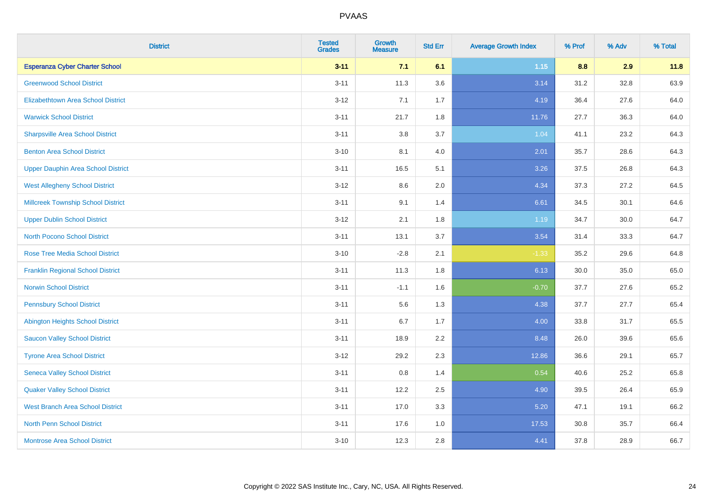| <b>District</b>                           | <b>Tested</b><br><b>Grades</b> | <b>Growth</b><br><b>Measure</b> | <b>Std Err</b> | <b>Average Growth Index</b> | % Prof | % Adv | % Total |
|-------------------------------------------|--------------------------------|---------------------------------|----------------|-----------------------------|--------|-------|---------|
| <b>Esperanza Cyber Charter School</b>     | $3 - 11$                       | 7.1                             | 6.1            | $1.15$                      | 8.8    | 2.9   | 11.8    |
| <b>Greenwood School District</b>          | $3 - 11$                       | 11.3                            | 3.6            | 3.14                        | 31.2   | 32.8  | 63.9    |
| <b>Elizabethtown Area School District</b> | $3 - 12$                       | 7.1                             | 1.7            | 4.19                        | 36.4   | 27.6  | 64.0    |
| <b>Warwick School District</b>            | $3 - 11$                       | 21.7                            | 1.8            | 11.76                       | 27.7   | 36.3  | 64.0    |
| <b>Sharpsville Area School District</b>   | $3 - 11$                       | 3.8                             | 3.7            | 1.04                        | 41.1   | 23.2  | 64.3    |
| <b>Benton Area School District</b>        | $3 - 10$                       | 8.1                             | 4.0            | 2.01                        | 35.7   | 28.6  | 64.3    |
| <b>Upper Dauphin Area School District</b> | $3 - 11$                       | 16.5                            | 5.1            | 3.26                        | 37.5   | 26.8  | 64.3    |
| <b>West Allegheny School District</b>     | $3 - 12$                       | $8.6\,$                         | 2.0            | 4.34                        | 37.3   | 27.2  | 64.5    |
| <b>Millcreek Township School District</b> | $3 - 11$                       | 9.1                             | 1.4            | 6.61                        | 34.5   | 30.1  | 64.6    |
| <b>Upper Dublin School District</b>       | $3 - 12$                       | 2.1                             | 1.8            | 1.19                        | 34.7   | 30.0  | 64.7    |
| <b>North Pocono School District</b>       | $3 - 11$                       | 13.1                            | 3.7            | 3.54                        | 31.4   | 33.3  | 64.7    |
| <b>Rose Tree Media School District</b>    | $3 - 10$                       | $-2.8$                          | 2.1            | $-1.33$                     | 35.2   | 29.6  | 64.8    |
| <b>Franklin Regional School District</b>  | $3 - 11$                       | 11.3                            | 1.8            | 6.13                        | 30.0   | 35.0  | 65.0    |
| <b>Norwin School District</b>             | $3 - 11$                       | $-1.1$                          | 1.6            | $-0.70$                     | 37.7   | 27.6  | 65.2    |
| <b>Pennsbury School District</b>          | $3 - 11$                       | 5.6                             | 1.3            | 4.38                        | 37.7   | 27.7  | 65.4    |
| <b>Abington Heights School District</b>   | $3 - 11$                       | 6.7                             | 1.7            | 4.00                        | 33.8   | 31.7  | 65.5    |
| <b>Saucon Valley School District</b>      | $3 - 11$                       | 18.9                            | 2.2            | 8.48                        | 26.0   | 39.6  | 65.6    |
| <b>Tyrone Area School District</b>        | $3 - 12$                       | 29.2                            | 2.3            | 12.86                       | 36.6   | 29.1  | 65.7    |
| <b>Seneca Valley School District</b>      | $3 - 11$                       | $0.8\,$                         | 1.4            | 0.54                        | 40.6   | 25.2  | 65.8    |
| <b>Quaker Valley School District</b>      | $3 - 11$                       | 12.2                            | 2.5            | 4.90                        | 39.5   | 26.4  | 65.9    |
| <b>West Branch Area School District</b>   | $3 - 11$                       | 17.0                            | 3.3            | 5.20                        | 47.1   | 19.1  | 66.2    |
| North Penn School District                | $3 - 11$                       | 17.6                            | 1.0            | 17.53                       | 30.8   | 35.7  | 66.4    |
| <b>Montrose Area School District</b>      | $3 - 10$                       | 12.3                            | 2.8            | 4.41                        | 37.8   | 28.9  | 66.7    |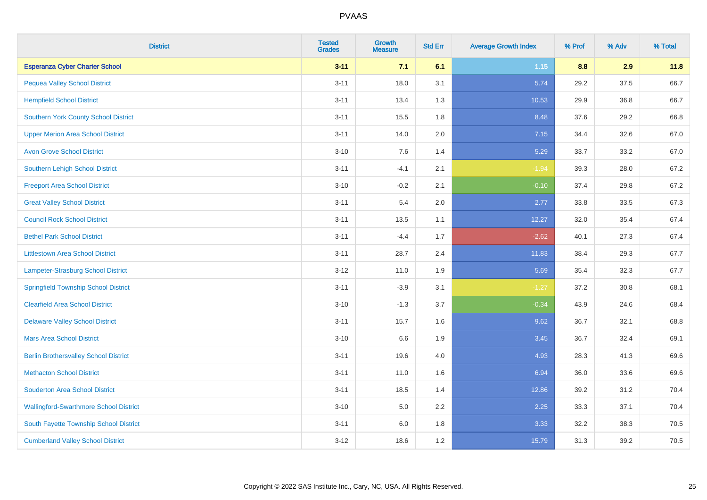| <b>District</b>                               | <b>Tested</b><br><b>Grades</b> | Growth<br><b>Measure</b> | <b>Std Err</b> | <b>Average Growth Index</b> | % Prof | % Adv | % Total |
|-----------------------------------------------|--------------------------------|--------------------------|----------------|-----------------------------|--------|-------|---------|
| <b>Esperanza Cyber Charter School</b>         | $3 - 11$                       | 7.1                      | 6.1            | 1.15                        | 8.8    | 2.9   | 11.8    |
| <b>Pequea Valley School District</b>          | $3 - 11$                       | 18.0                     | 3.1            | 5.74                        | 29.2   | 37.5  | 66.7    |
| <b>Hempfield School District</b>              | $3 - 11$                       | 13.4                     | 1.3            | 10.53                       | 29.9   | 36.8  | 66.7    |
| <b>Southern York County School District</b>   | $3 - 11$                       | 15.5                     | 1.8            | 8.48                        | 37.6   | 29.2  | 66.8    |
| <b>Upper Merion Area School District</b>      | $3 - 11$                       | 14.0                     | 2.0            | 7.15                        | 34.4   | 32.6  | 67.0    |
| <b>Avon Grove School District</b>             | $3 - 10$                       | 7.6                      | 1.4            | 5.29                        | 33.7   | 33.2  | 67.0    |
| <b>Southern Lehigh School District</b>        | $3 - 11$                       | $-4.1$                   | 2.1            | $-1.94$                     | 39.3   | 28.0  | 67.2    |
| <b>Freeport Area School District</b>          | $3 - 10$                       | $-0.2$                   | 2.1            | $-0.10$                     | 37.4   | 29.8  | 67.2    |
| <b>Great Valley School District</b>           | $3 - 11$                       | 5.4                      | 2.0            | 2.77                        | 33.8   | 33.5  | 67.3    |
| <b>Council Rock School District</b>           | $3 - 11$                       | 13.5                     | 1.1            | 12.27                       | 32.0   | 35.4  | 67.4    |
| <b>Bethel Park School District</b>            | $3 - 11$                       | $-4.4$                   | 1.7            | $-2.62$                     | 40.1   | 27.3  | 67.4    |
| <b>Littlestown Area School District</b>       | $3 - 11$                       | 28.7                     | 2.4            | 11.83                       | 38.4   | 29.3  | 67.7    |
| Lampeter-Strasburg School District            | $3 - 12$                       | 11.0                     | 1.9            | 5.69                        | 35.4   | 32.3  | 67.7    |
| <b>Springfield Township School District</b>   | $3 - 11$                       | $-3.9$                   | 3.1            | $-1.27$                     | 37.2   | 30.8  | 68.1    |
| <b>Clearfield Area School District</b>        | $3 - 10$                       | $-1.3$                   | 3.7            | $-0.34$                     | 43.9   | 24.6  | 68.4    |
| <b>Delaware Valley School District</b>        | $3 - 11$                       | 15.7                     | 1.6            | 9.62                        | 36.7   | 32.1  | 68.8    |
| <b>Mars Area School District</b>              | $3 - 10$                       | 6.6                      | 1.9            | 3.45                        | 36.7   | 32.4  | 69.1    |
| <b>Berlin Brothersvalley School District</b>  | $3 - 11$                       | 19.6                     | 4.0            | 4.93                        | 28.3   | 41.3  | 69.6    |
| <b>Methacton School District</b>              | $3 - 11$                       | 11.0                     | 1.6            | 6.94                        | 36.0   | 33.6  | 69.6    |
| <b>Souderton Area School District</b>         | $3 - 11$                       | 18.5                     | 1.4            | 12.86                       | 39.2   | 31.2  | 70.4    |
| <b>Wallingford-Swarthmore School District</b> | $3 - 10$                       | 5.0                      | 2.2            | 2.25                        | 33.3   | 37.1  | 70.4    |
| South Fayette Township School District        | $3 - 11$                       | 6.0                      | 1.8            | 3.33                        | 32.2   | 38.3  | 70.5    |
| <b>Cumberland Valley School District</b>      | $3 - 12$                       | 18.6                     | 1.2            | 15.79                       | 31.3   | 39.2  | 70.5    |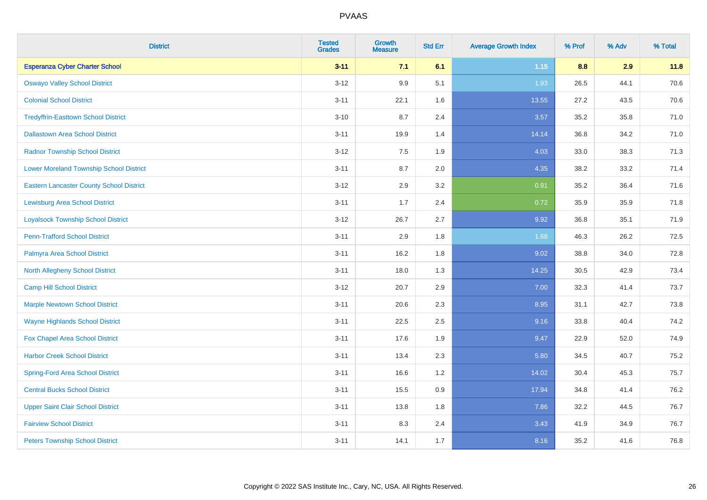| <b>District</b>                                 | <b>Tested</b><br><b>Grades</b> | <b>Growth</b><br><b>Measure</b> | <b>Std Err</b> | <b>Average Growth Index</b> | % Prof | % Adv | % Total |
|-------------------------------------------------|--------------------------------|---------------------------------|----------------|-----------------------------|--------|-------|---------|
| <b>Esperanza Cyber Charter School</b>           | $3 - 11$                       | 7.1                             | 6.1            | 1.15                        | 8.8    | 2.9   | 11.8    |
| <b>Oswayo Valley School District</b>            | $3 - 12$                       | 9.9                             | 5.1            | 1.93                        | 26.5   | 44.1  | 70.6    |
| <b>Colonial School District</b>                 | $3 - 11$                       | 22.1                            | 1.6            | 13.55                       | 27.2   | 43.5  | 70.6    |
| <b>Tredyffrin-Easttown School District</b>      | $3 - 10$                       | 8.7                             | 2.4            | 3.57                        | 35.2   | 35.8  | 71.0    |
| <b>Dallastown Area School District</b>          | $3 - 11$                       | 19.9                            | 1.4            | 14.14                       | 36.8   | 34.2  | 71.0    |
| <b>Radnor Township School District</b>          | $3 - 12$                       | 7.5                             | 1.9            | 4.03                        | 33.0   | 38.3  | 71.3    |
| <b>Lower Moreland Township School District</b>  | $3 - 11$                       | 8.7                             | 2.0            | 4.35                        | 38.2   | 33.2  | 71.4    |
| <b>Eastern Lancaster County School District</b> | $3 - 12$                       | 2.9                             | 3.2            | 0.91                        | 35.2   | 36.4  | 71.6    |
| <b>Lewisburg Area School District</b>           | $3 - 11$                       | 1.7                             | 2.4            | 0.72                        | 35.9   | 35.9  | 71.8    |
| <b>Loyalsock Township School District</b>       | $3 - 12$                       | 26.7                            | 2.7            | 9.92                        | 36.8   | 35.1  | 71.9    |
| <b>Penn-Trafford School District</b>            | $3 - 11$                       | 2.9                             | 1.8            | 1.68                        | 46.3   | 26.2  | 72.5    |
| Palmyra Area School District                    | $3 - 11$                       | 16.2                            | 1.8            | 9.02                        | 38.8   | 34.0  | 72.8    |
| North Allegheny School District                 | $3 - 11$                       | 18.0                            | 1.3            | 14.25                       | 30.5   | 42.9  | 73.4    |
| <b>Camp Hill School District</b>                | $3 - 12$                       | 20.7                            | 2.9            | 7.00                        | 32.3   | 41.4  | 73.7    |
| <b>Marple Newtown School District</b>           | $3 - 11$                       | 20.6                            | 2.3            | 8.95                        | 31.1   | 42.7  | 73.8    |
| <b>Wayne Highlands School District</b>          | $3 - 11$                       | 22.5                            | 2.5            | 9.16                        | 33.8   | 40.4  | 74.2    |
| Fox Chapel Area School District                 | $3 - 11$                       | 17.6                            | 1.9            | 9.47                        | 22.9   | 52.0  | 74.9    |
| <b>Harbor Creek School District</b>             | $3 - 11$                       | 13.4                            | 2.3            | 5.80                        | 34.5   | 40.7  | 75.2    |
| <b>Spring-Ford Area School District</b>         | $3 - 11$                       | 16.6                            | 1.2            | 14.02                       | 30.4   | 45.3  | 75.7    |
| <b>Central Bucks School District</b>            | $3 - 11$                       | 15.5                            | 0.9            | 17.94                       | 34.8   | 41.4  | 76.2    |
| <b>Upper Saint Clair School District</b>        | $3 - 11$                       | 13.8                            | 1.8            | 7.86                        | 32.2   | 44.5  | 76.7    |
| <b>Fairview School District</b>                 | $3 - 11$                       | 8.3                             | 2.4            | 3.43                        | 41.9   | 34.9  | 76.7    |
| <b>Peters Township School District</b>          | $3 - 11$                       | 14.1                            | 1.7            | 8.16                        | 35.2   | 41.6  | 76.8    |